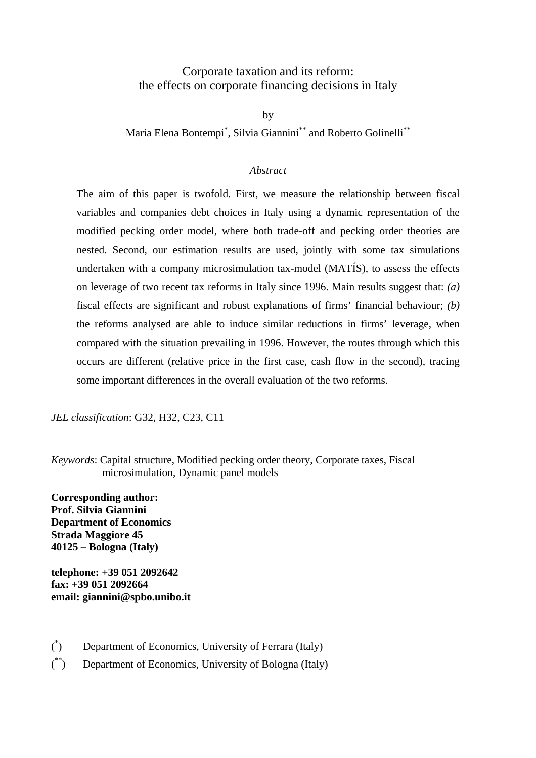# Corporate taxation and its reform: the effects on corporate financing decisions in Italy

by

Maria Elena Bontempi\* , Silvia Giannini\*\* and Roberto Golinelli\*\*

# *Abstract*

The aim of this paper is twofold. First, we measure the relationship between fiscal variables and companies debt choices in Italy using a dynamic representation of the modified pecking order model, where both trade-off and pecking order theories are nested. Second, our estimation results are used, jointly with some tax simulations undertaken with a company microsimulation tax-model (MATÍS), to assess the effects on leverage of two recent tax reforms in Italy since 1996. Main results suggest that: *(a)* fiscal effects are significant and robust explanations of firms' financial behaviour; *(b)* the reforms analysed are able to induce similar reductions in firms' leverage, when compared with the situation prevailing in 1996. However, the routes through which this occurs are different (relative price in the first case, cash flow in the second), tracing some important differences in the overall evaluation of the two reforms.

*JEL classification*: G32, H32, C23, C11

*Keywords*: Capital structure, Modified pecking order theory, Corporate taxes, Fiscal microsimulation, Dynamic panel models

**Corresponding author: Prof. Silvia Giannini Department of Economics Strada Maggiore 45 40125 – Bologna (Italy)**

**telephone: +39 051 2092642 fax: +39 051 2092664 email: giannini@spbo.unibo.it**

- ( \* ) Department of Economics, University of Ferrara (Italy)
- $\binom{**}{ }$ Department of Economics, University of Bologna (Italy)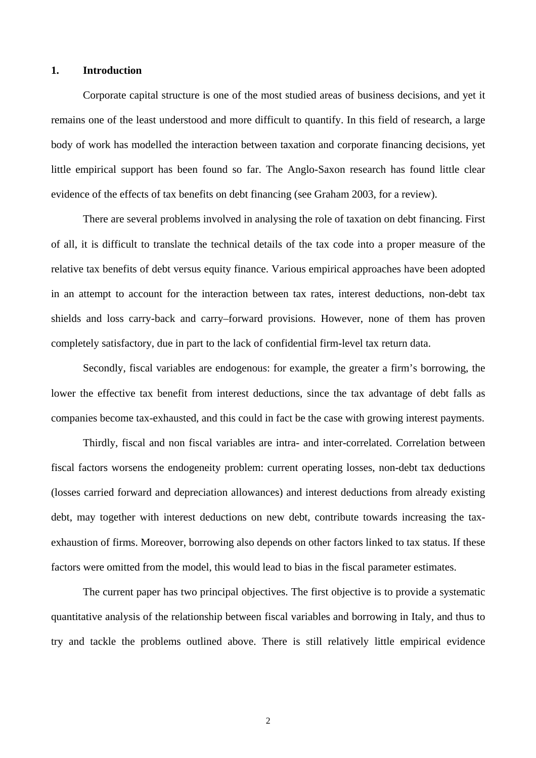### **1. Introduction**

Corporate capital structure is one of the most studied areas of business decisions, and yet it remains one of the least understood and more difficult to quantify. In this field of research, a large body of work has modelled the interaction between taxation and corporate financing decisions, yet little empirical support has been found so far. The Anglo-Saxon research has found little clear evidence of the effects of tax benefits on debt financing (see Graham 2003, for a review).

There are several problems involved in analysing the role of taxation on debt financing. First of all, it is difficult to translate the technical details of the tax code into a proper measure of the relative tax benefits of debt versus equity finance. Various empirical approaches have been adopted in an attempt to account for the interaction between tax rates, interest deductions, non-debt tax shields and loss carry-back and carry–forward provisions. However, none of them has proven completely satisfactory, due in part to the lack of confidential firm-level tax return data.

Secondly, fiscal variables are endogenous: for example, the greater a firm's borrowing, the lower the effective tax benefit from interest deductions, since the tax advantage of debt falls as companies become tax-exhausted, and this could in fact be the case with growing interest payments.

Thirdly, fiscal and non fiscal variables are intra- and inter-correlated. Correlation between fiscal factors worsens the endogeneity problem: current operating losses, non-debt tax deductions (losses carried forward and depreciation allowances) and interest deductions from already existing debt, may together with interest deductions on new debt, contribute towards increasing the taxexhaustion of firms. Moreover, borrowing also depends on other factors linked to tax status. If these factors were omitted from the model, this would lead to bias in the fiscal parameter estimates.

The current paper has two principal objectives. The first objective is to provide a systematic quantitative analysis of the relationship between fiscal variables and borrowing in Italy, and thus to try and tackle the problems outlined above. There is still relatively little empirical evidence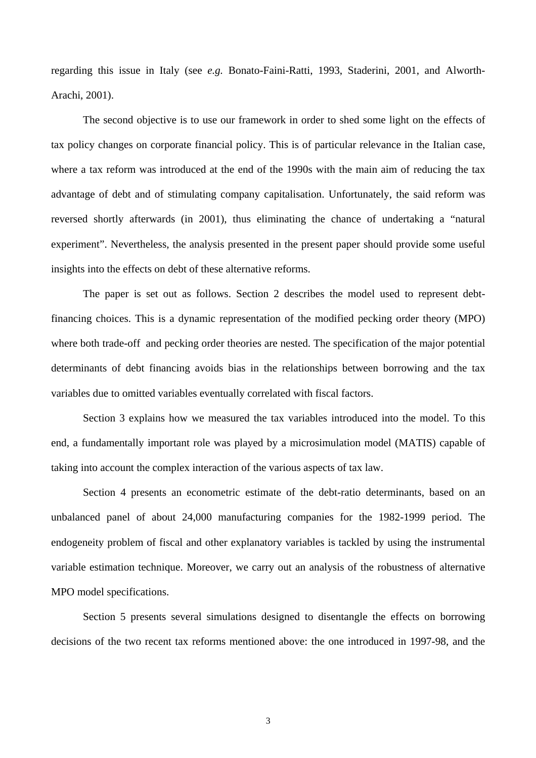regarding this issue in Italy (see *e.g.* Bonato-Faini-Ratti, 1993, Staderini, 2001, and Alworth-Arachi, 2001).

The second objective is to use our framework in order to shed some light on the effects of tax policy changes on corporate financial policy. This is of particular relevance in the Italian case, where a tax reform was introduced at the end of the 1990s with the main aim of reducing the tax advantage of debt and of stimulating company capitalisation. Unfortunately, the said reform was reversed shortly afterwards (in 2001), thus eliminating the chance of undertaking a "natural experiment". Nevertheless, the analysis presented in the present paper should provide some useful insights into the effects on debt of these alternative reforms.

The paper is set out as follows. Section 2 describes the model used to represent debtfinancing choices. This is a dynamic representation of the modified pecking order theory (MPO) where both trade-off and pecking order theories are nested. The specification of the major potential determinants of debt financing avoids bias in the relationships between borrowing and the tax variables due to omitted variables eventually correlated with fiscal factors.

Section 3 explains how we measured the tax variables introduced into the model. To this end, a fundamentally important role was played by a microsimulation model (MATIS) capable of taking into account the complex interaction of the various aspects of tax law.

Section 4 presents an econometric estimate of the debt-ratio determinants, based on an unbalanced panel of about 24,000 manufacturing companies for the 1982-1999 period. The endogeneity problem of fiscal and other explanatory variables is tackled by using the instrumental variable estimation technique. Moreover, we carry out an analysis of the robustness of alternative MPO model specifications.

Section 5 presents several simulations designed to disentangle the effects on borrowing decisions of the two recent tax reforms mentioned above: the one introduced in 1997-98, and the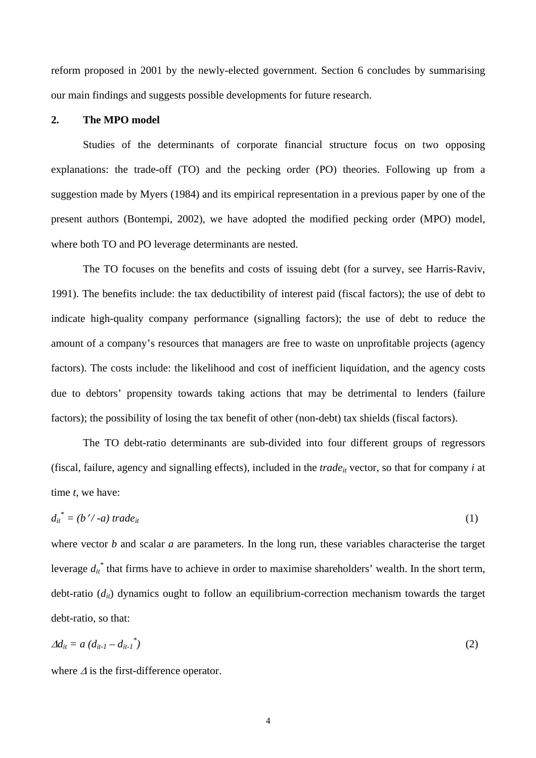reform proposed in 2001 by the newly-elected government. Section 6 concludes by summarising our main findings and suggests possible developments for future research.

### **2. The MPO model**

Studies of the determinants of corporate financial structure focus on two opposing explanations: the trade-off (TO) and the pecking order (PO) theories. Following up from a suggestion made by Myers (1984) and its empirical representation in a previous paper by one of the present authors (Bontempi, 2002), we have adopted the modified pecking order (MPO) model, where both TO and PO leverage determinants are nested.

The TO focuses on the benefits and costs of issuing debt (for a survey, see Harris-Raviv, 1991). The benefits include: the tax deductibility of interest paid (fiscal factors); the use of debt to indicate high-quality company performance (signalling factors); the use of debt to reduce the amount of a company's resources that managers are free to waste on unprofitable projects (agency factors). The costs include: the likelihood and cost of inefficient liquidation, and the agency costs due to debtors' propensity towards taking actions that may be detrimental to lenders (failure factors); the possibility of losing the tax benefit of other (non-debt) tax shields (fiscal factors).

The TO debt-ratio determinants are sub-divided into four different groups of regressors (fiscal, failure, agency and signalling effects), included in the  $trade_{it}$  vector, so that for company  $i$  at time *t*, we have:

$$
d_{it}^* = (b'/-a) \, trade_{it} \tag{1}
$$

where vector *b* and scalar *a* are parameters. In the long run, these variables characterise the target leverage  $d_{it}^{*}$  that firms have to achieve in order to maximise shareholders' wealth. In the short term, debt-ratio (d<sub>it</sub>) dynamics ought to follow an equilibrium-correction mechanism towards the target debt-ratio, so that:

$$
\Delta d_{it} = a \left( d_{it-1} - d_{it-1} \right)^{*} \tag{2}
$$

where <sup>∆</sup> is the first-difference operator.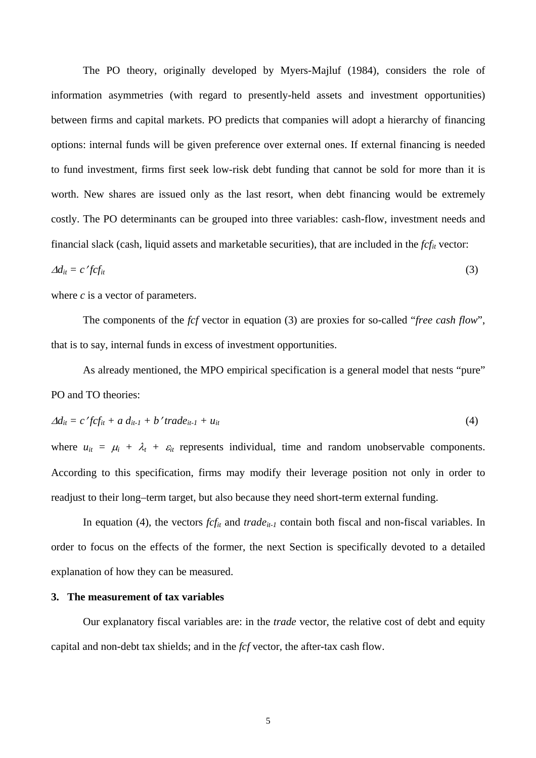The PO theory, originally developed by Myers-Majluf (1984), considers the role of information asymmetries (with regard to presently-held assets and investment opportunities) between firms and capital markets. PO predicts that companies will adopt a hierarchy of financing options: internal funds will be given preference over external ones. If external financing is needed to fund investment, firms first seek low-risk debt funding that cannot be sold for more than it is worth. New shares are issued only as the last resort, when debt financing would be extremely costly. The PO determinants can be grouped into three variables: cash-flow, investment needs and financial slack (cash, liquid assets and marketable securities), that are included in the *fcfit* vector:

$$
\Delta d_{it} = c' f c f_{it} \tag{3}
$$

where *c* is a vector of parameters.

The components of the *fcf* vector in equation (3) are proxies for so-called "*free cash flow*", that is to say, internal funds in excess of investment opportunities.

As already mentioned, the MPO empirical specification is a general model that nests "pure" PO and TO theories:

$$
\Delta d_{it} = c' f c f_{it} + a d_{it-1} + b' trade_{it-1} + u_{it} \tag{4}
$$

where  $u_{it} = \mu_i + \lambda_t + \varepsilon_{it}$  represents individual, time and random unobservable components. According to this specification, firms may modify their leverage position not only in order to readjust to their long–term target, but also because they need short-term external funding.

In equation (4), the vectors  $fcf_{it}$  and  $trade_{it-1}$  contain both fiscal and non-fiscal variables. In order to focus on the effects of the former, the next Section is specifically devoted to a detailed explanation of how they can be measured.

## **3. The measurement of tax variables**

Our explanatory fiscal variables are: in the *trade* vector, the relative cost of debt and equity capital and non-debt tax shields; and in the *fcf* vector, the after-tax cash flow.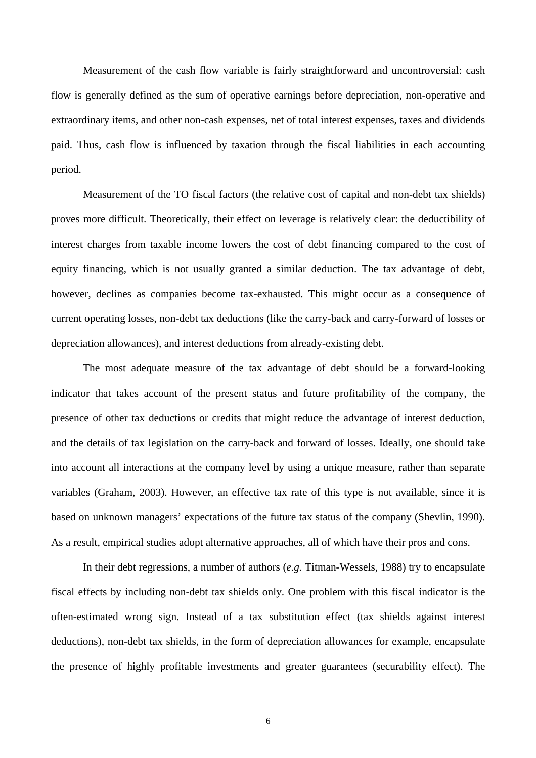Measurement of the cash flow variable is fairly straightforward and uncontroversial: cash flow is generally defined as the sum of operative earnings before depreciation, non-operative and extraordinary items, and other non-cash expenses, net of total interest expenses, taxes and dividends paid. Thus, cash flow is influenced by taxation through the fiscal liabilities in each accounting period.

Measurement of the TO fiscal factors (the relative cost of capital and non-debt tax shields) proves more difficult. Theoretically, their effect on leverage is relatively clear: the deductibility of interest charges from taxable income lowers the cost of debt financing compared to the cost of equity financing, which is not usually granted a similar deduction. The tax advantage of debt, however, declines as companies become tax-exhausted. This might occur as a consequence of current operating losses, non-debt tax deductions (like the carry-back and carry-forward of losses or depreciation allowances), and interest deductions from already-existing debt.

The most adequate measure of the tax advantage of debt should be a forward-looking indicator that takes account of the present status and future profitability of the company, the presence of other tax deductions or credits that might reduce the advantage of interest deduction, and the details of tax legislation on the carry-back and forward of losses. Ideally, one should take into account all interactions at the company level by using a unique measure, rather than separate variables (Graham, 2003). However, an effective tax rate of this type is not available, since it is based on unknown managers' expectations of the future tax status of the company (Shevlin, 1990). As a result, empirical studies adopt alternative approaches, all of which have their pros and cons.

In their debt regressions, a number of authors (*e.g.* Titman-Wessels, 1988) try to encapsulate fiscal effects by including non-debt tax shields only. One problem with this fiscal indicator is the often-estimated wrong sign. Instead of a tax substitution effect (tax shields against interest deductions), non-debt tax shields, in the form of depreciation allowances for example, encapsulate the presence of highly profitable investments and greater guarantees (securability effect). The

6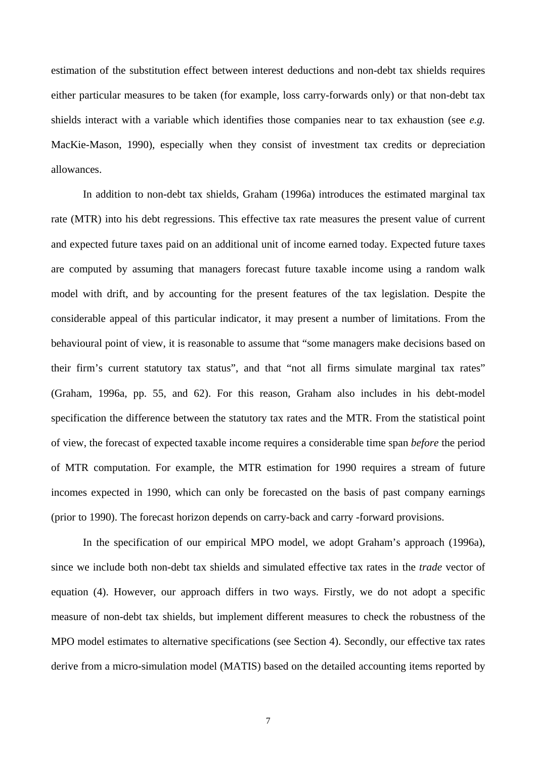estimation of the substitution effect between interest deductions and non-debt tax shields requires either particular measures to be taken (for example, loss carry-forwards only) or that non-debt tax shields interact with a variable which identifies those companies near to tax exhaustion (see *e.g.* MacKie-Mason, 1990), especially when they consist of investment tax credits or depreciation allowances.

In addition to non-debt tax shields, Graham (1996a) introduces the estimated marginal tax rate (MTR) into his debt regressions. This effective tax rate measures the present value of current and expected future taxes paid on an additional unit of income earned today. Expected future taxes are computed by assuming that managers forecast future taxable income using a random walk model with drift, and by accounting for the present features of the tax legislation. Despite the considerable appeal of this particular indicator, it may present a number of limitations. From the behavioural point of view, it is reasonable to assume that "some managers make decisions based on their firm's current statutory tax status", and that "not all firms simulate marginal tax rates" (Graham, 1996a, pp. 55, and 62). For this reason, Graham also includes in his debt-model specification the difference between the statutory tax rates and the MTR. From the statistical point of view, the forecast of expected taxable income requires a considerable time span *before* the period of MTR computation. For example, the MTR estimation for 1990 requires a stream of future incomes expected in 1990, which can only be forecasted on the basis of past company earnings (prior to 1990). The forecast horizon depends on carry-back and carry -forward provisions.

In the specification of our empirical MPO model, we adopt Graham's approach (1996a), since we include both non-debt tax shields and simulated effective tax rates in the *trade* vector of equation (4). However, our approach differs in two ways. Firstly, we do not adopt a specific measure of non-debt tax shields, but implement different measures to check the robustness of the MPO model estimates to alternative specifications (see Section 4). Secondly, our effective tax rates derive from a micro-simulation model (MATIS) based on the detailed accounting items reported by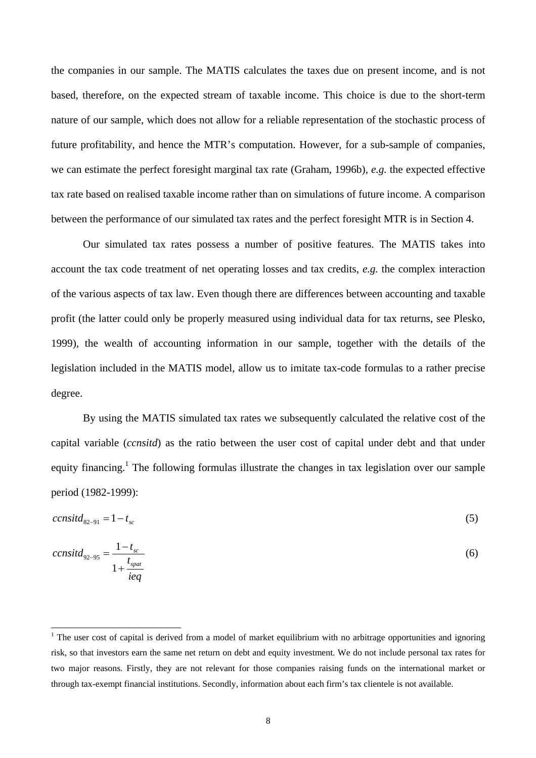the companies in our sample. The MATIS calculates the taxes due on present income, and is not based, therefore, on the expected stream of taxable income. This choice is due to the short-term nature of our sample, which does not allow for a reliable representation of the stochastic process of future profitability, and hence the MTR's computation. However, for a sub-sample of companies, we can estimate the perfect foresight marginal tax rate (Graham, 1996b), *e.g.* the expected effective tax rate based on realised taxable income rather than on simulations of future income. A comparison between the performance of our simulated tax rates and the perfect foresight MTR is in Section 4.

Our simulated tax rates possess a number of positive features. The MATIS takes into account the tax code treatment of net operating losses and tax credits, *e.g.* the complex interaction of the various aspects of tax law. Even though there are differences between accounting and taxable profit (the latter could only be properly measured using individual data for tax returns, see Plesko, 1999), the wealth of accounting information in our sample, together with the details of the legislation included in the MATIS model, allow us to imitate tax-code formulas to a rather precise degree.

By using the MATIS simulated tax rates we subsequently calculated the relative cost of the capital variable (*ccnsitd*) as the ratio between the user cost of capital under debt and that under equity financing.<sup>1</sup> The following formulas illustrate the changes in tax legislation over our sample period (1982-1999):

$$
censit d_{82-91} = 1 - t_{sc} \tag{5}
$$

$$
censit d_{92-95} = \frac{1 - t_{sc}}{1 + \frac{t_{spat}}{ieq}}
$$
(6)

 $\overline{a}$ 

<sup>&</sup>lt;sup>1</sup> The user cost of capital is derived from a model of market equilibrium with no arbitrage opportunities and ignoring risk, so that investors earn the same net return on debt and equity investment. We do not include personal tax rates for two major reasons. Firstly, they are not relevant for those companies raising funds on the international market or through tax-exempt financial institutions. Secondly, information about each firm's tax clientele is not available.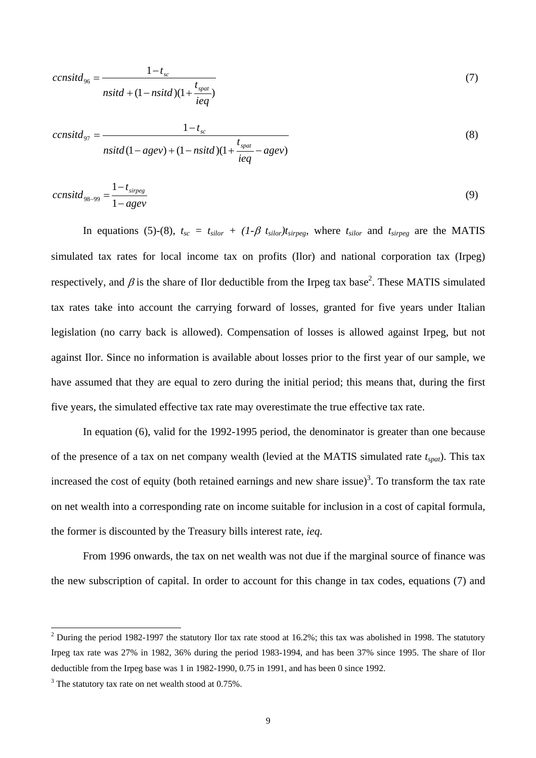$$
censit d_{96} = \frac{1 - t_{sc}}{nsit d + (1 - nsit d)(1 + \frac{t_{spat}}{ieq})}
$$
\n
$$
(7)
$$

$$
censit d_{97} = \frac{1 - t_{sc}}{nsit d(1 - agev) + (1 - nsit d)(1 + \frac{t_{spat}}{ieq} - agev)}
$$
\n
$$
(8)
$$

$$
censit d_{98-99} = \frac{1 - t_{\text{sirpeg}}}{1 - agev} \tag{9}
$$

In equations (5)-(8),  $t_{sc} = t_{silor} + (1-\beta t_{silor})t_{sireg}$ , where  $t_{silor}$  and  $t_{sireg}$  are the MATIS simulated tax rates for local income tax on profits (Ilor) and national corporation tax (Irpeg) respectively, and  $\beta$  is the share of Ilor deductible from the Irpeg tax base<sup>2</sup>. These MATIS simulated tax rates take into account the carrying forward of losses, granted for five years under Italian legislation (no carry back is allowed). Compensation of losses is allowed against Irpeg, but not against Ilor. Since no information is available about losses prior to the first year of our sample, we have assumed that they are equal to zero during the initial period; this means that, during the first five years, the simulated effective tax rate may overestimate the true effective tax rate.

In equation (6), valid for the 1992-1995 period, the denominator is greater than one because of the presence of a tax on net company wealth (levied at the MATIS simulated rate *tspat*). This tax increased the cost of equity (both retained earnings and new share issue)<sup>3</sup>. To transform the tax rate on net wealth into a corresponding rate on income suitable for inclusion in a cost of capital formula, the former is discounted by the Treasury bills interest rate, *ieq*.

From 1996 onwards, the tax on net wealth was not due if the marginal source of finance was the new subscription of capital. In order to account for this change in tax codes, equations (7) and

 $\overline{a}$ 

<sup>&</sup>lt;sup>2</sup> During the period 1982-1997 the statutory Ilor tax rate stood at 16.2%; this tax was abolished in 1998. The statutory Irpeg tax rate was 27% in 1982, 36% during the period 1983-1994, and has been 37% since 1995. The share of Ilor deductible from the Irpeg base was 1 in 1982-1990, 0.75 in 1991, and has been 0 since 1992.

 $3$  The statutory tax rate on net wealth stood at 0.75%.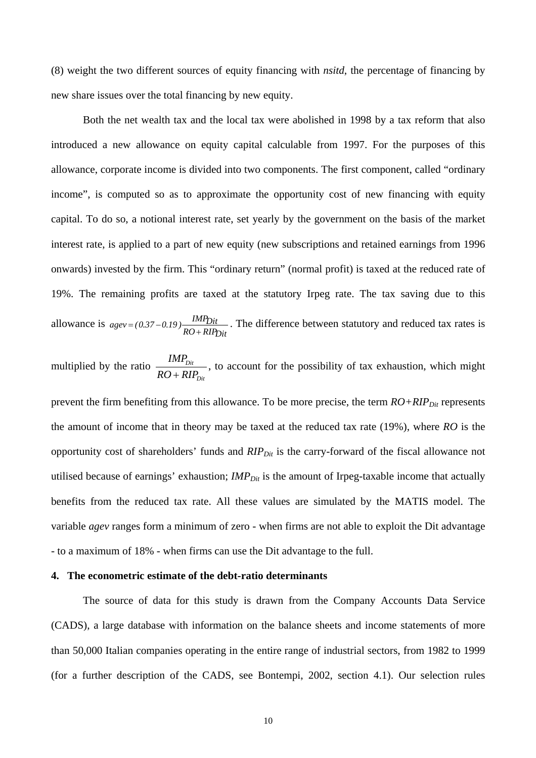(8) weight the two different sources of equity financing with *nsitd*, the percentage of financing by new share issues over the total financing by new equity.

Both the net wealth tax and the local tax were abolished in 1998 by a tax reform that also introduced a new allowance on equity capital calculable from 1997. For the purposes of this allowance, corporate income is divided into two components. The first component, called "ordinary income", is computed so as to approximate the opportunity cost of new financing with equity capital. To do so, a notional interest rate, set yearly by the government on the basis of the market interest rate, is applied to a part of new equity (new subscriptions and retained earnings from 1996 onwards) invested by the firm. This "ordinary return" (normal profit) is taxed at the reduced rate of 19%. The remaining profits are taxed at the statutory Irpeg rate. The tax saving due to this allowance is *RO RIPDit*  $\frac{IMP_{Dit}}{RO + RIP_{Dit}}$ . The difference between statutory and reduced tax rates is

multiplied by the ratio *Dit Dit*  $RO + RIP$ *IMP* + , to account for the possibility of tax exhaustion, which might

prevent the firm benefiting from this allowance. To be more precise, the term  $RO + RIP_{Dit}$  represents the amount of income that in theory may be taxed at the reduced tax rate (19%), where *RO* is the opportunity cost of shareholders' funds and *RIP<sub>Dit</sub>* is the carry-forward of the fiscal allowance not utilised because of earnings' exhaustion; *IMP*<sub>Dit</sub> is the amount of Irpeg-taxable income that actually benefits from the reduced tax rate. All these values are simulated by the MATIS model. The variable *agev* ranges form a minimum of zero - when firms are not able to exploit the Dit advantage - to a maximum of 18% - when firms can use the Dit advantage to the full.

### **4. The econometric estimate of the debt-ratio determinants**

The source of data for this study is drawn from the Company Accounts Data Service (CADS), a large database with information on the balance sheets and income statements of more than 50,000 Italian companies operating in the entire range of industrial sectors, from 1982 to 1999 (for a further description of the CADS, see Bontempi, 2002, section 4.1). Our selection rules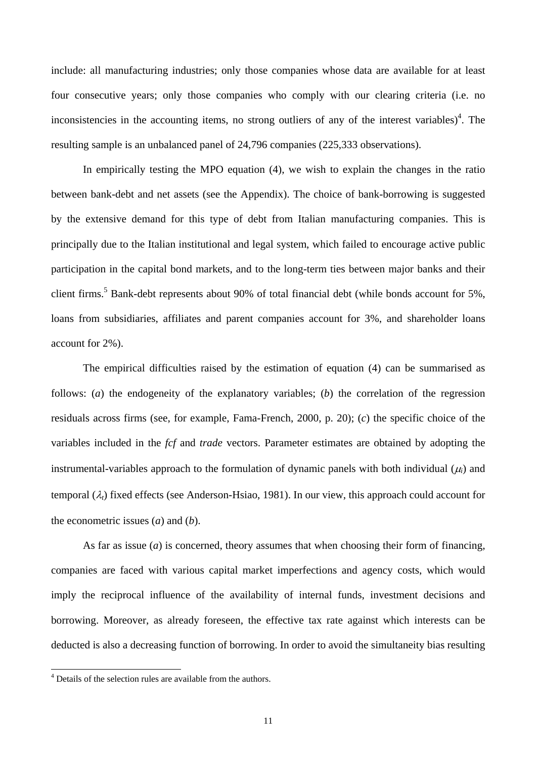include: all manufacturing industries; only those companies whose data are available for at least four consecutive years; only those companies who comply with our clearing criteria (i.e. no inconsistencies in the accounting items, no strong outliers of any of the interest variables)<sup>4</sup>. The resulting sample is an unbalanced panel of 24,796 companies (225,333 observations).

In empirically testing the MPO equation (4), we wish to explain the changes in the ratio between bank-debt and net assets (see the Appendix). The choice of bank-borrowing is suggested by the extensive demand for this type of debt from Italian manufacturing companies. This is principally due to the Italian institutional and legal system, which failed to encourage active public participation in the capital bond markets, and to the long-term ties between major banks and their client firms.<sup>5</sup> Bank-debt represents about 90% of total financial debt (while bonds account for 5%, loans from subsidiaries, affiliates and parent companies account for 3%, and shareholder loans account for 2%).

The empirical difficulties raised by the estimation of equation (4) can be summarised as follows: (*a*) the endogeneity of the explanatory variables; (*b*) the correlation of the regression residuals across firms (see, for example, Fama-French, 2000, p. 20); (*c*) the specific choice of the variables included in the *fcf* and *trade* vectors. Parameter estimates are obtained by adopting the instrumental-variables approach to the formulation of dynamic panels with both individual  $(\mu_i)$  and temporal (λ*t*) fixed effects (see Anderson-Hsiao, 1981). In our view, this approach could account for the econometric issues (*a*) and (*b*).

As far as issue  $(a)$  is concerned, theory assumes that when choosing their form of financing, companies are faced with various capital market imperfections and agency costs, which would imply the reciprocal influence of the availability of internal funds, investment decisions and borrowing. Moreover, as already foreseen, the effective tax rate against which interests can be deducted is also a decreasing function of borrowing. In order to avoid the simultaneity bias resulting

 4 Details of the selection rules are available from the authors.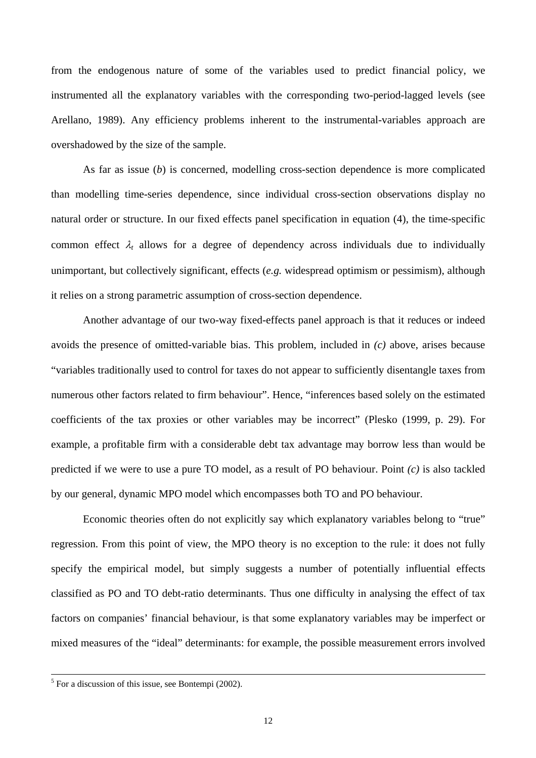from the endogenous nature of some of the variables used to predict financial policy, we instrumented all the explanatory variables with the corresponding two-period-lagged levels (see Arellano, 1989). Any efficiency problems inherent to the instrumental-variables approach are overshadowed by the size of the sample.

As far as issue (*b*) is concerned, modelling cross-section dependence is more complicated than modelling time-series dependence, since individual cross-section observations display no natural order or structure. In our fixed effects panel specification in equation (4), the time-specific common effect  $\lambda_t$  allows for a degree of dependency across individuals due to individually unimportant, but collectively significant, effects (*e.g.* widespread optimism or pessimism), although it relies on a strong parametric assumption of cross-section dependence.

Another advantage of our two-way fixed-effects panel approach is that it reduces or indeed avoids the presence of omitted-variable bias. This problem, included in *(c)* above, arises because "variables traditionally used to control for taxes do not appear to sufficiently disentangle taxes from numerous other factors related to firm behaviour". Hence, "inferences based solely on the estimated coefficients of the tax proxies or other variables may be incorrect" (Plesko (1999, p. 29). For example, a profitable firm with a considerable debt tax advantage may borrow less than would be predicted if we were to use a pure TO model, as a result of PO behaviour. Point *(c)* is also tackled by our general, dynamic MPO model which encompasses both TO and PO behaviour.

Economic theories often do not explicitly say which explanatory variables belong to "true" regression. From this point of view, the MPO theory is no exception to the rule: it does not fully specify the empirical model, but simply suggests a number of potentially influential effects classified as PO and TO debt-ratio determinants. Thus one difficulty in analysing the effect of tax factors on companies' financial behaviour, is that some explanatory variables may be imperfect or mixed measures of the "ideal" determinants: for example, the possible measurement errors involved

 <sup>5</sup>  $<sup>5</sup>$  For a discussion of this issue, see Bontempi (2002).</sup>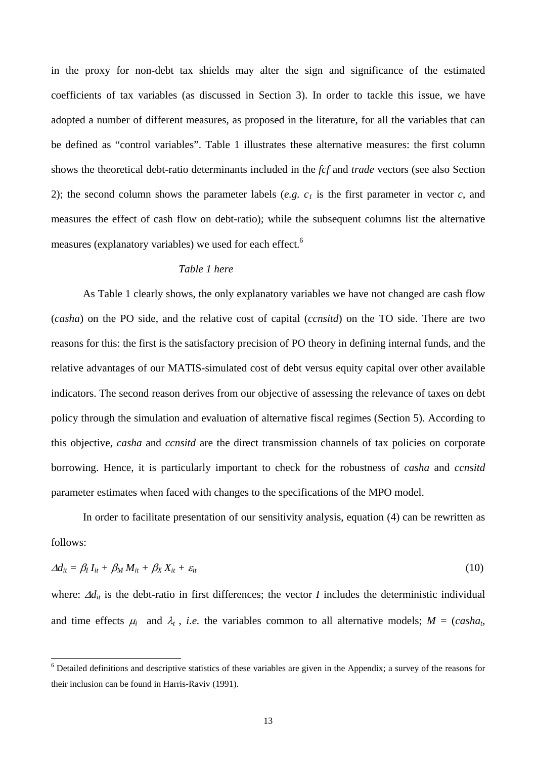in the proxy for non-debt tax shields may alter the sign and significance of the estimated coefficients of tax variables (as discussed in Section 3). In order to tackle this issue, we have adopted a number of different measures, as proposed in the literature, for all the variables that can be defined as "control variables". Table 1 illustrates these alternative measures: the first column shows the theoretical debt-ratio determinants included in the *fcf* and *trade* vectors (see also Section 2); the second column shows the parameter labels (*e.g.*  $c_1$  is the first parameter in vector *c*, and measures the effect of cash flow on debt-ratio); while the subsequent columns list the alternative measures (explanatory variables) we used for each effect.<sup>6</sup>

# *Table 1 here*

As Table 1 clearly shows, the only explanatory variables we have not changed are cash flow (*casha*) on the PO side, and the relative cost of capital (*ccnsitd*) on the TO side. There are two reasons for this: the first is the satisfactory precision of PO theory in defining internal funds, and the relative advantages of our MATIS-simulated cost of debt versus equity capital over other available indicators. The second reason derives from our objective of assessing the relevance of taxes on debt policy through the simulation and evaluation of alternative fiscal regimes (Section 5). According to this objective, *casha* and *ccnsitd* are the direct transmission channels of tax policies on corporate borrowing. Hence, it is particularly important to check for the robustness of *casha* and *ccnsitd* parameter estimates when faced with changes to the specifications of the MPO model.

In order to facilitate presentation of our sensitivity analysis, equation (4) can be rewritten as follows:

$$
\Delta d_{it} = \beta_l I_{it} + \beta_M M_{it} + \beta_X X_{it} + \varepsilon_{it} \tag{10}
$$

where:  $\Delta d_{it}$  is the debt-ratio in first differences; the vector *I* includes the deterministic individual and time effects  $\mu_i$  and  $\lambda_t$ , *i.e.* the variables common to all alternative models;  $M = (casha_t)$ 

 $\overline{a}$ 

<sup>&</sup>lt;sup>6</sup> Detailed definitions and descriptive statistics of these variables are given in the Appendix; a survey of the reasons for their inclusion can be found in Harris-Raviv (1991).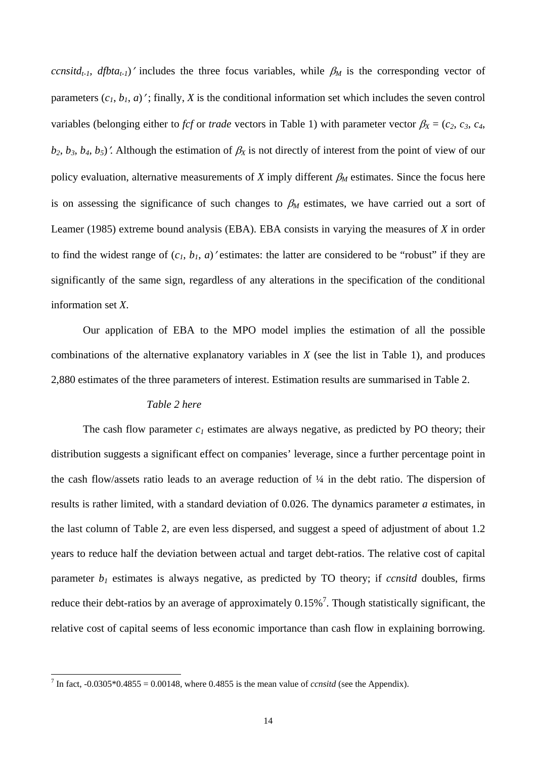*ccnsitd<sub>t-1</sub>, dfbta<sub>t-1</sub></sub>)'* includes the three focus variables, while  $\beta_M$  is the corresponding vector of parameters  $(c_1, b_1, a)'$ ; finally, *X* is the conditional information set which includes the seven control variables (belonging either to *fcf* or *trade* vectors in Table 1) with parameter vector  $\beta_X = (c_2, c_3, c_4, c_5, c_6)$  $b_2$ ,  $b_3$ ,  $b_4$ ,  $b_5$ )'. Although the estimation of  $\beta_X$  is not directly of interest from the point of view of our policy evaluation, alternative measurements of *X* imply different  $\beta_M$  estimates. Since the focus here is on assessing the significance of such changes to  $\beta_M$  estimates, we have carried out a sort of Leamer (1985) extreme bound analysis (EBA). EBA consists in varying the measures of *X* in order to find the widest range of  $(c_1, b_1, a)$  'estimates: the latter are considered to be "robust" if they are significantly of the same sign, regardless of any alterations in the specification of the conditional information set *X*.

Our application of EBA to the MPO model implies the estimation of all the possible combinations of the alternative explanatory variables in *X* (see the list in Table 1), and produces 2,880 estimates of the three parameters of interest. Estimation results are summarised in Table 2.

#### *Table 2 here*

The cash flow parameter  $c_1$  estimates are always negative, as predicted by PO theory; their distribution suggests a significant effect on companies' leverage, since a further percentage point in the cash flow/assets ratio leads to an average reduction of  $\frac{1}{4}$  in the debt ratio. The dispersion of results is rather limited, with a standard deviation of 0.026. The dynamics parameter *a* estimates, in the last column of Table 2, are even less dispersed, and suggest a speed of adjustment of about 1.2 years to reduce half the deviation between actual and target debt-ratios. The relative cost of capital parameter  $b_1$  estimates is always negative, as predicted by TO theory; if *ccnsitd* doubles, firms reduce their debt-ratios by an average of approximately  $0.15\%$ <sup>7</sup>. Though statistically significant, the relative cost of capital seems of less economic importance than cash flow in explaining borrowing.

<sup>&</sup>lt;sup>7</sup> In fact,  $-0.0305*0.4855 = 0.00148$ , where 0.4855 is the mean value of *ccnsitd* (see the Appendix).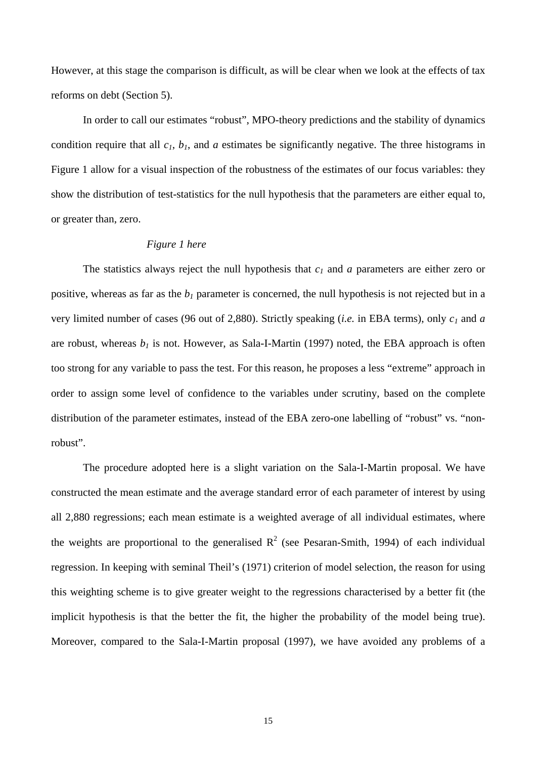However, at this stage the comparison is difficult, as will be clear when we look at the effects of tax reforms on debt (Section 5).

In order to call our estimates "robust", MPO-theory predictions and the stability of dynamics condition require that all  $c_1$ ,  $b_1$ , and  $a$  estimates be significantly negative. The three histograms in Figure 1 allow for a visual inspection of the robustness of the estimates of our focus variables: they show the distribution of test-statistics for the null hypothesis that the parameters are either equal to, or greater than, zero.

#### *Figure 1 here*

The statistics always reject the null hypothesis that *c1* and *a* parameters are either zero or positive, whereas as far as the  $b_1$  parameter is concerned, the null hypothesis is not rejected but in a very limited number of cases (96 out of 2,880). Strictly speaking (*i.e.* in EBA terms), only *c1* and *a* are robust, whereas  $b_1$  is not. However, as Sala-I-Martin (1997) noted, the EBA approach is often too strong for any variable to pass the test. For this reason, he proposes a less "extreme" approach in order to assign some level of confidence to the variables under scrutiny, based on the complete distribution of the parameter estimates, instead of the EBA zero-one labelling of "robust" vs. "nonrobust".

The procedure adopted here is a slight variation on the Sala-I-Martin proposal. We have constructed the mean estimate and the average standard error of each parameter of interest by using all 2,880 regressions; each mean estimate is a weighted average of all individual estimates, where the weights are proportional to the generalised  $R^2$  (see Pesaran-Smith, 1994) of each individual regression. In keeping with seminal Theil's (1971) criterion of model selection, the reason for using this weighting scheme is to give greater weight to the regressions characterised by a better fit (the implicit hypothesis is that the better the fit, the higher the probability of the model being true). Moreover, compared to the Sala-I-Martin proposal (1997), we have avoided any problems of a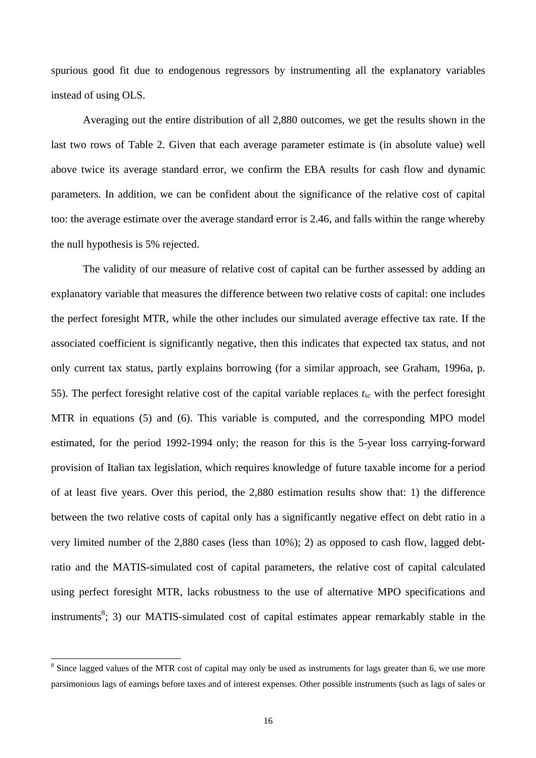spurious good fit due to endogenous regressors by instrumenting all the explanatory variables instead of using OLS.

Averaging out the entire distribution of all 2,880 outcomes, we get the results shown in the last two rows of Table 2. Given that each average parameter estimate is (in absolute value) well above twice its average standard error, we confirm the EBA results for cash flow and dynamic parameters. In addition, we can be confident about the significance of the relative cost of capital too: the average estimate over the average standard error is 2.46, and falls within the range whereby the null hypothesis is 5% rejected.

The validity of our measure of relative cost of capital can be further assessed by adding an explanatory variable that measures the difference between two relative costs of capital: one includes the perfect foresight MTR, while the other includes our simulated average effective tax rate. If the associated coefficient is significantly negative, then this indicates that expected tax status, and not only current tax status, partly explains borrowing (for a similar approach, see Graham, 1996a, p. 55). The perfect foresight relative cost of the capital variable replaces  $t_{sc}$  with the perfect foresight MTR in equations (5) and (6). This variable is computed, and the corresponding MPO model estimated, for the period 1992-1994 only; the reason for this is the 5-year loss carrying-forward provision of Italian tax legislation, which requires knowledge of future taxable income for a period of at least five years. Over this period, the 2,880 estimation results show that: 1) the difference between the two relative costs of capital only has a significantly negative effect on debt ratio in a very limited number of the 2,880 cases (less than 10%); 2) as opposed to cash flow, lagged debtratio and the MATIS-simulated cost of capital parameters, the relative cost of capital calculated using perfect foresight MTR, lacks robustness to the use of alternative MPO specifications and instruments<sup>8</sup>; 3) our MATIS-simulated cost of capital estimates appear remarkably stable in the

 $\overline{a}$ 

 $8$  Since lagged values of the MTR cost of capital may only be used as instruments for lags greater than 6, we use more parsimonious lags of earnings before taxes and of interest expenses. Other possible instruments (such as lags of sales or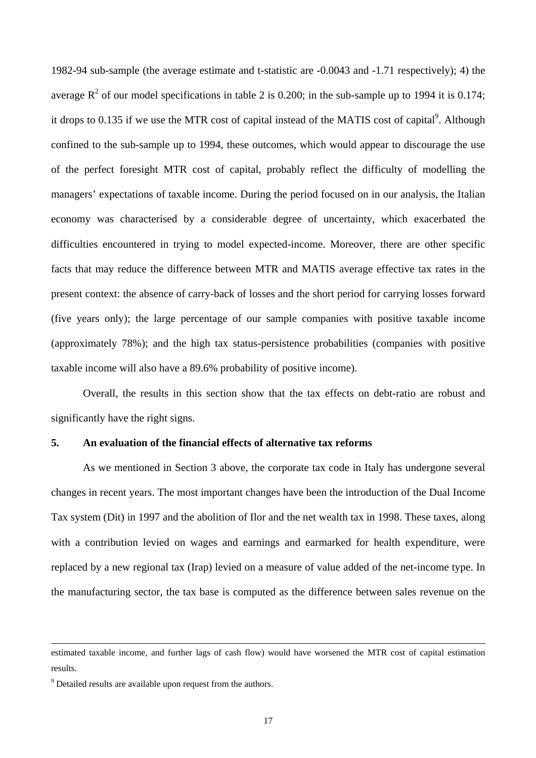1982-94 sub-sample (the average estimate and t-statistic are -0.0043 and -1.71 respectively); 4) the average  $R^2$  of our model specifications in table 2 is 0.200; in the sub-sample up to 1994 it is 0.174; it drops to 0.135 if we use the MTR cost of capital instead of the MATIS cost of capital<sup>9</sup>. Although confined to the sub-sample up to 1994, these outcomes, which would appear to discourage the use of the perfect foresight MTR cost of capital, probably reflect the difficulty of modelling the managers' expectations of taxable income. During the period focused on in our analysis, the Italian economy was characterised by a considerable degree of uncertainty, which exacerbated the difficulties encountered in trying to model expected-income. Moreover, there are other specific facts that may reduce the difference between MTR and MATIS average effective tax rates in the present context: the absence of carry-back of losses and the short period for carrying losses forward (five years only); the large percentage of our sample companies with positive taxable income (approximately 78%); and the high tax status-persistence probabilities (companies with positive taxable income will also have a 89.6% probability of positive income).

Overall, the results in this section show that the tax effects on debt-ratio are robust and significantly have the right signs.

## **5. An evaluation of the financial effects of alternative tax reforms**

As we mentioned in Section 3 above, the corporate tax code in Italy has undergone several changes in recent years. The most important changes have been the introduction of the Dual Income Tax system (Dit) in 1997 and the abolition of Ilor and the net wealth tax in 1998. These taxes, along with a contribution levied on wages and earnings and earmarked for health expenditure, were replaced by a new regional tax (Irap) levied on a measure of value added of the net-income type. In the manufacturing sector, the tax base is computed as the difference between sales revenue on the

 $\overline{a}$ 

estimated taxable income, and further lags of cash flow) would have worsened the MTR cost of capital estimation results.

 $9^9$  Detailed results are available upon request from the authors.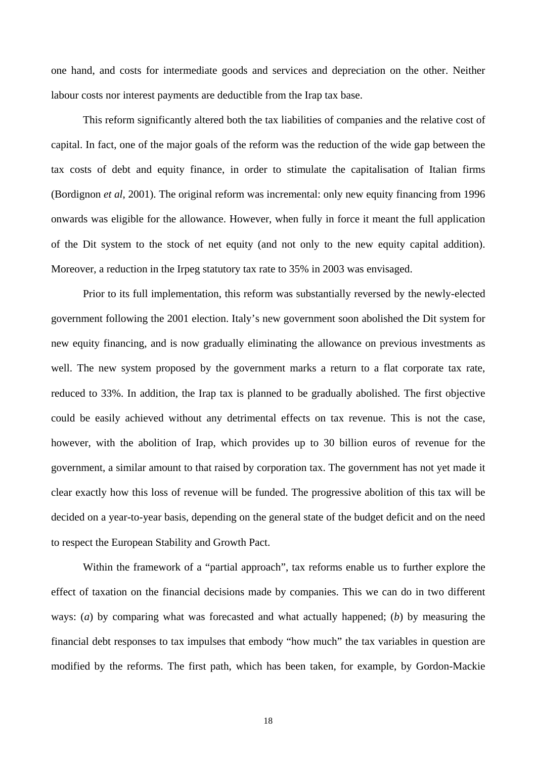one hand, and costs for intermediate goods and services and depreciation on the other. Neither labour costs nor interest payments are deductible from the Irap tax base.

This reform significantly altered both the tax liabilities of companies and the relative cost of capital. In fact, one of the major goals of the reform was the reduction of the wide gap between the tax costs of debt and equity finance, in order to stimulate the capitalisation of Italian firms (Bordignon *et al*, 2001). The original reform was incremental: only new equity financing from 1996 onwards was eligible for the allowance. However, when fully in force it meant the full application of the Dit system to the stock of net equity (and not only to the new equity capital addition). Moreover, a reduction in the Irpeg statutory tax rate to 35% in 2003 was envisaged.

Prior to its full implementation, this reform was substantially reversed by the newly-elected government following the 2001 election. Italy's new government soon abolished the Dit system for new equity financing, and is now gradually eliminating the allowance on previous investments as well. The new system proposed by the government marks a return to a flat corporate tax rate, reduced to 33%. In addition, the Irap tax is planned to be gradually abolished. The first objective could be easily achieved without any detrimental effects on tax revenue. This is not the case, however, with the abolition of Irap, which provides up to 30 billion euros of revenue for the government, a similar amount to that raised by corporation tax. The government has not yet made it clear exactly how this loss of revenue will be funded. The progressive abolition of this tax will be decided on a year-to-year basis, depending on the general state of the budget deficit and on the need to respect the European Stability and Growth Pact.

Within the framework of a "partial approach", tax reforms enable us to further explore the effect of taxation on the financial decisions made by companies. This we can do in two different ways: (*a*) by comparing what was forecasted and what actually happened; (*b*) by measuring the financial debt responses to tax impulses that embody "how much" the tax variables in question are modified by the reforms. The first path, which has been taken, for example, by Gordon-Mackie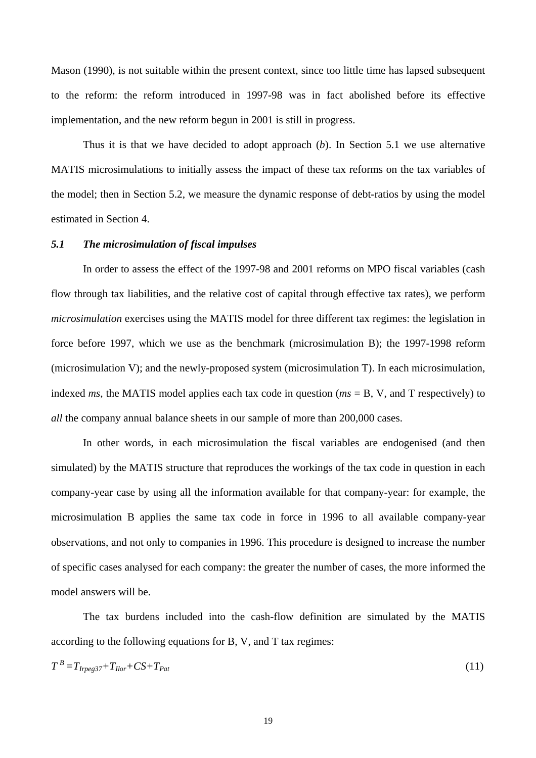Mason (1990), is not suitable within the present context, since too little time has lapsed subsequent to the reform: the reform introduced in 1997-98 was in fact abolished before its effective implementation, and the new reform begun in 2001 is still in progress.

Thus it is that we have decided to adopt approach (*b*). In Section 5.1 we use alternative MATIS microsimulations to initially assess the impact of these tax reforms on the tax variables of the model; then in Section 5.2, we measure the dynamic response of debt-ratios by using the model estimated in Section 4.

## *5.1 The microsimulation of fiscal impulses*

In order to assess the effect of the 1997-98 and 2001 reforms on MPO fiscal variables (cash flow through tax liabilities, and the relative cost of capital through effective tax rates), we perform *microsimulation* exercises using the MATIS model for three different tax regimes: the legislation in force before 1997, which we use as the benchmark (microsimulation B); the 1997-1998 reform (microsimulation V); and the newly-proposed system (microsimulation T). In each microsimulation, indexed *ms*, the MATIS model applies each tax code in question (*ms* = B, V, and T respectively) to *all* the company annual balance sheets in our sample of more than 200,000 cases.

In other words, in each microsimulation the fiscal variables are endogenised (and then simulated) by the MATIS structure that reproduces the workings of the tax code in question in each company-year case by using all the information available for that company-year: for example, the microsimulation B applies the same tax code in force in 1996 to all available company-year observations, and not only to companies in 1996. This procedure is designed to increase the number of specific cases analysed for each company: the greater the number of cases, the more informed the model answers will be.

The tax burdens included into the cash-flow definition are simulated by the MATIS according to the following equations for B, V, and T tax regimes:

$$
T^B = T_{Iregs37} + T_{Ilor} + CS + T_{Pat} \tag{11}
$$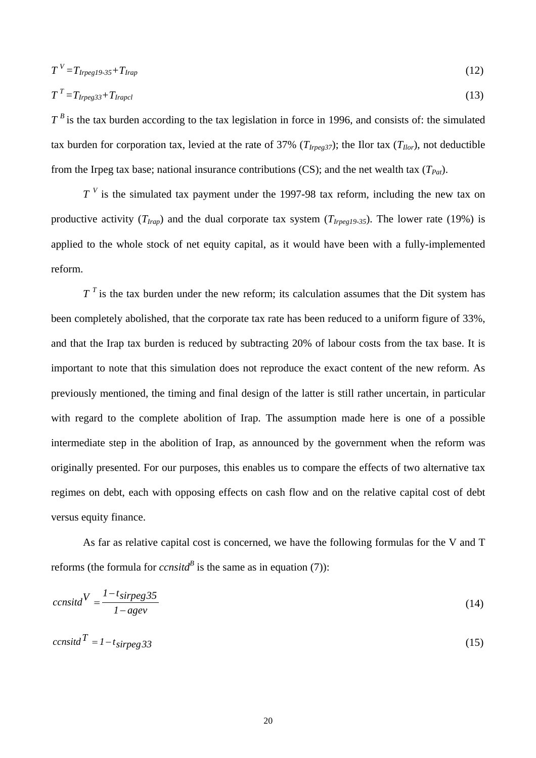$$
T^V = T_{Irpeg19.35} + T_{Irap} \tag{12}
$$

$$
T^T = T_{Irpeg33} + T_{Irapel} \tag{13}
$$

 $T^B$  is the tax burden according to the tax legislation in force in 1996, and consists of: the simulated tax burden for corporation tax, levied at the rate of 37% ( $T_{I\nu ee^{37}}$ ); the Ilor tax ( $T_{I\omega r}$ ), not deductible from the Irpeg tax base; national insurance contributions (CS); and the net wealth tax  $(T<sub>Pat</sub>)$ .

*T*<sup>V</sup> is the simulated tax payment under the 1997-98 tax reform, including the new tax on productive activity  $(T_{Irap})$  and the dual corporate tax system  $(T_{Irepeg19-35})$ . The lower rate (19%) is applied to the whole stock of net equity capital, as it would have been with a fully-implemented reform.

 $T<sup>T</sup>$  is the tax burden under the new reform; its calculation assumes that the Dit system has been completely abolished, that the corporate tax rate has been reduced to a uniform figure of 33%, and that the Irap tax burden is reduced by subtracting 20% of labour costs from the tax base. It is important to note that this simulation does not reproduce the exact content of the new reform. As previously mentioned, the timing and final design of the latter is still rather uncertain, in particular with regard to the complete abolition of Irap. The assumption made here is one of a possible intermediate step in the abolition of Irap, as announced by the government when the reform was originally presented. For our purposes, this enables us to compare the effects of two alternative tax regimes on debt, each with opposing effects on cash flow and on the relative capital cost of debt versus equity finance.

As far as relative capital cost is concerned, we have the following formulas for the V and T reforms (the formula for *ccnsita*<sup> $B$ </sup> is the same as in equation (7)):

$$
censid^V = \frac{1 - t_{sirpeg}35}{1 - agev} \tag{14}
$$

$$
cens\ddot{t} = 1 - t_{\text{simpeg}} 33\tag{15}
$$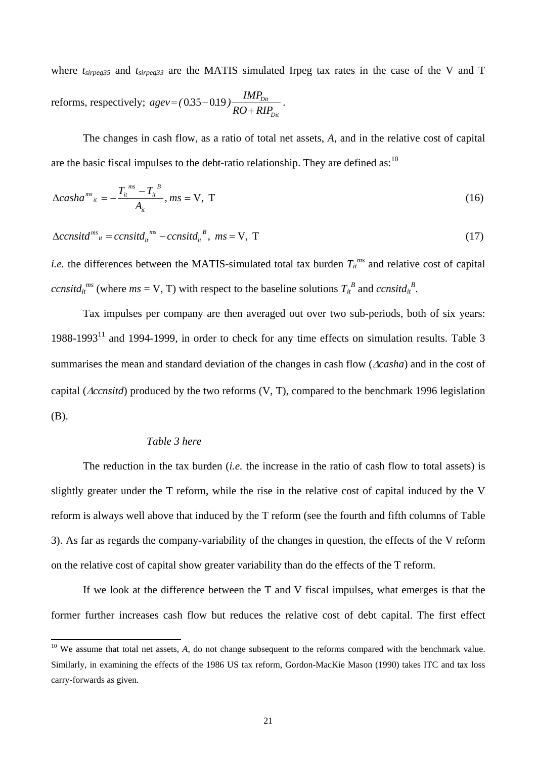where  $t_{sirpeg35}$  and  $t_{sirpeg33}$  are the MATIS simulated Irpeg tax rates in the case of the V and T reforms, respectively; *Dit Dit*  $RO + RIP$  $agev = (0.35 - 0.19) \frac{IMP_{Dir}}{RO + RIP_{Dir}}$ .

The changes in cash flow, as a ratio of total net assets, *A*, and in the relative cost of capital are the basic fiscal impulses to the debt-ratio relationship. They are defined as:<sup>10</sup>

$$
\Delta casha^{ms}_{ii} = -\frac{T_{ii}^{ms} - T_{ii}^{B}}{A_{ii}}, ms = V, T
$$
\n(16)

$$
\Delta constid^{ms}_{ii} = constid^{ms}_{ii} - constid^{B}_{ii}, \quad ms = V, T \tag{17}
$$

*i.e.* the differences between the MATIS-simulated total tax burden  $T_{it}^{ms}$  and relative cost of capital *ccnsitd<sub>it</sub>*<sup>*ms*</sup> (where *ms* = V, T) with respect to the baseline solutions  $T_i^B$  and *ccnsitd<sub>it</sub>*<sup>B</sup>.

Tax impulses per company are then averaged out over two sub-periods, both of six years: 1988-199311 and 1994-1999, in order to check for any time effects on simulation results. Table 3 summarises the mean and standard deviation of the changes in cash flow (∆*casha*) and in the cost of capital (∆*ccnsitd*) produced by the two reforms (V, T), compared to the benchmark 1996 legislation (B).

## *Table 3 here*

 $\overline{a}$ 

The reduction in the tax burden (*i.e.* the increase in the ratio of cash flow to total assets) is slightly greater under the T reform, while the rise in the relative cost of capital induced by the V reform is always well above that induced by the T reform (see the fourth and fifth columns of Table 3). As far as regards the company-variability of the changes in question, the effects of the V reform on the relative cost of capital show greater variability than do the effects of the T reform.

If we look at the difference between the T and V fiscal impulses, what emerges is that the former further increases cash flow but reduces the relative cost of debt capital. The first effect

<sup>&</sup>lt;sup>10</sup> We assume that total net assets, A, do not change subsequent to the reforms compared with the benchmark value. Similarly, in examining the effects of the 1986 US tax reform, Gordon-MacKie Mason (1990) takes ITC and tax loss carry-forwards as given.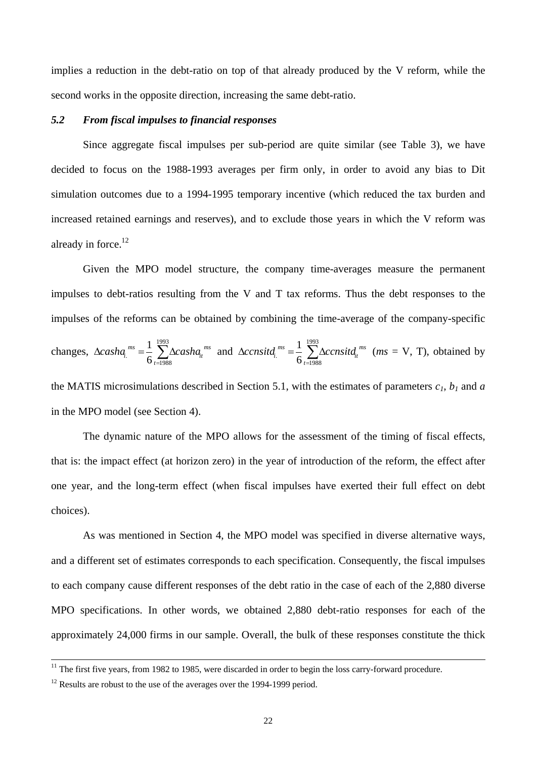implies a reduction in the debt-ratio on top of that already produced by the V reform, while the second works in the opposite direction, increasing the same debt-ratio.

#### *5.2 From fiscal impulses to financial responses*

Since aggregate fiscal impulses per sub-period are quite similar (see Table 3), we have decided to focus on the 1988-1993 averages per firm only, in order to avoid any bias to Dit simulation outcomes due to a 1994-1995 temporary incentive (which reduced the tax burden and increased retained earnings and reserves), and to exclude those years in which the V reform was already in force. $12$ 

Given the MPO model structure, the company time-averages measure the permanent impulses to debt-ratios resulting from the V and T tax reforms. Thus the debt responses to the impulses of the reforms can be obtained by combining the time-average of the company-specific changes,  $\Delta casha_i^{ms} = \frac{1}{6} \sum_{t=1988} \Delta$ 1993  $\frac{1}{6} \sum_{t=1988}$ 1 *t ms it*  $cosh a_1^{ms} = \frac{1}{6} \sum_{t=1988}^{\infty} \Delta casha_t^{ms}$  and  $\Delta consit d_1^{ms} = \frac{1}{6} \sum_{t=1988}^{\infty} \Delta$ 1993  $\frac{1}{6} \sum_{t=1988}^{t}$ 1 *t ms it ccnsitd*<sub>*i*</sub><sup>*ms*</sup> =  $\frac{1}{6}$   $\sum \Delta$ *ccnsitd*<sub>*i*</sub><sup>*ms*</sup> (*ms* = V, T), obtained by

the MATIS microsimulations described in Section 5.1, with the estimates of parameters  $c_1$ ,  $b_1$  and  $a$ in the MPO model (see Section 4).

The dynamic nature of the MPO allows for the assessment of the timing of fiscal effects, that is: the impact effect (at horizon zero) in the year of introduction of the reform, the effect after one year, and the long-term effect (when fiscal impulses have exerted their full effect on debt choices).

As was mentioned in Section 4, the MPO model was specified in diverse alternative ways, and a different set of estimates corresponds to each specification. Consequently, the fiscal impulses to each company cause different responses of the debt ratio in the case of each of the 2,880 diverse MPO specifications. In other words, we obtained 2,880 debt-ratio responses for each of the approximately 24,000 firms in our sample. Overall, the bulk of these responses constitute the thick

<sup>&</sup>lt;sup>11</sup> The first five years, from 1982 to 1985, were discarded in order to begin the loss carry-forward procedure.

 $12$  Results are robust to the use of the averages over the 1994-1999 period.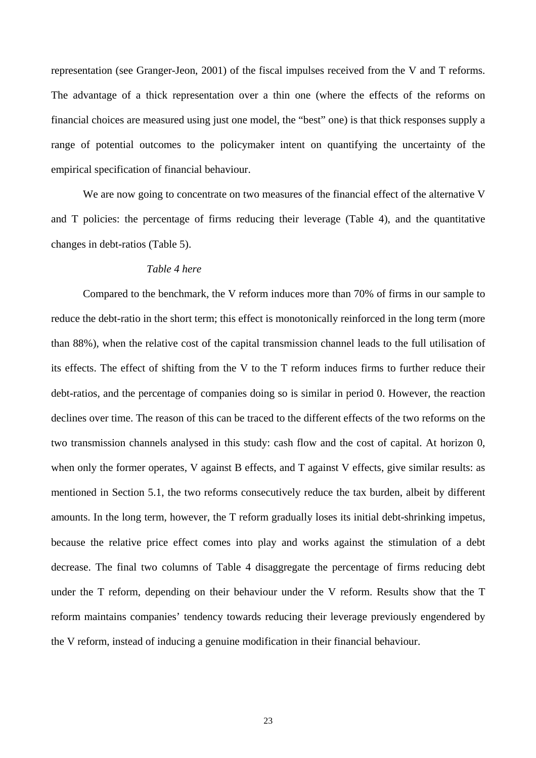representation (see Granger-Jeon, 2001) of the fiscal impulses received from the V and T reforms. The advantage of a thick representation over a thin one (where the effects of the reforms on financial choices are measured using just one model, the "best" one) is that thick responses supply a range of potential outcomes to the policymaker intent on quantifying the uncertainty of the empirical specification of financial behaviour.

We are now going to concentrate on two measures of the financial effect of the alternative V and T policies: the percentage of firms reducing their leverage (Table 4), and the quantitative changes in debt-ratios (Table 5).

# *Table 4 here*

Compared to the benchmark, the V reform induces more than 70% of firms in our sample to reduce the debt-ratio in the short term; this effect is monotonically reinforced in the long term (more than 88%), when the relative cost of the capital transmission channel leads to the full utilisation of its effects. The effect of shifting from the V to the T reform induces firms to further reduce their debt-ratios, and the percentage of companies doing so is similar in period 0. However, the reaction declines over time. The reason of this can be traced to the different effects of the two reforms on the two transmission channels analysed in this study: cash flow and the cost of capital. At horizon 0, when only the former operates, V against B effects, and T against V effects, give similar results: as mentioned in Section 5.1, the two reforms consecutively reduce the tax burden, albeit by different amounts. In the long term, however, the T reform gradually loses its initial debt-shrinking impetus, because the relative price effect comes into play and works against the stimulation of a debt decrease. The final two columns of Table 4 disaggregate the percentage of firms reducing debt under the T reform, depending on their behaviour under the V reform. Results show that the T reform maintains companies' tendency towards reducing their leverage previously engendered by the V reform, instead of inducing a genuine modification in their financial behaviour.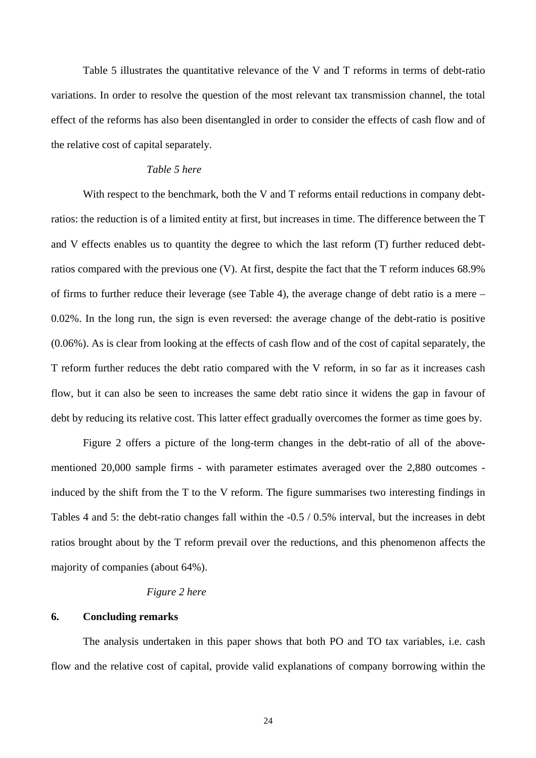Table 5 illustrates the quantitative relevance of the V and T reforms in terms of debt-ratio variations. In order to resolve the question of the most relevant tax transmission channel, the total effect of the reforms has also been disentangled in order to consider the effects of cash flow and of the relative cost of capital separately.

#### *Table 5 here*

With respect to the benchmark, both the V and T reforms entail reductions in company debtratios: the reduction is of a limited entity at first, but increases in time. The difference between the T and V effects enables us to quantity the degree to which the last reform (T) further reduced debtratios compared with the previous one (V). At first, despite the fact that the T reform induces 68.9% of firms to further reduce their leverage (see Table 4), the average change of debt ratio is a mere – 0.02%. In the long run, the sign is even reversed: the average change of the debt-ratio is positive (0.06%). As is clear from looking at the effects of cash flow and of the cost of capital separately, the T reform further reduces the debt ratio compared with the V reform, in so far as it increases cash flow, but it can also be seen to increases the same debt ratio since it widens the gap in favour of debt by reducing its relative cost. This latter effect gradually overcomes the former as time goes by.

Figure 2 offers a picture of the long-term changes in the debt-ratio of all of the abovementioned 20,000 sample firms - with parameter estimates averaged over the 2,880 outcomes induced by the shift from the T to the V reform. The figure summarises two interesting findings in Tables 4 and 5: the debt-ratio changes fall within the -0.5 / 0.5% interval, but the increases in debt ratios brought about by the T reform prevail over the reductions, and this phenomenon affects the majority of companies (about 64%).

#### *Figure 2 here*

# **6. Concluding remarks**

The analysis undertaken in this paper shows that both PO and TO tax variables, i.e. cash flow and the relative cost of capital, provide valid explanations of company borrowing within the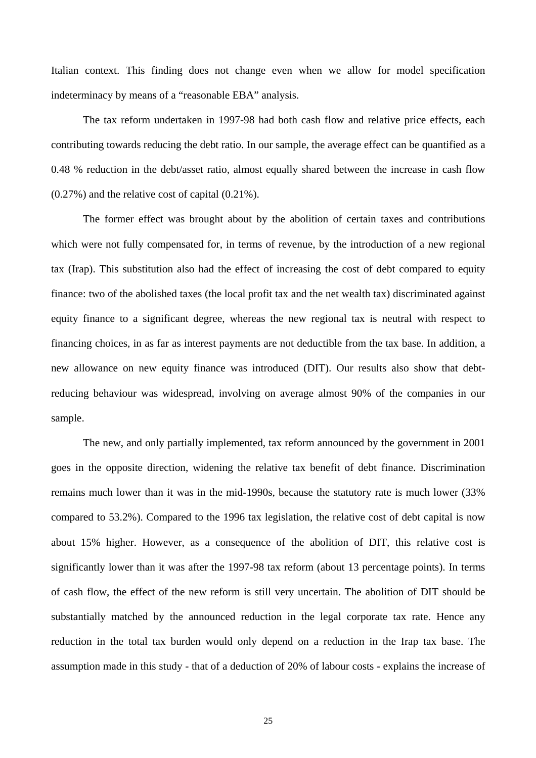Italian context. This finding does not change even when we allow for model specification indeterminacy by means of a "reasonable EBA" analysis.

The tax reform undertaken in 1997-98 had both cash flow and relative price effects, each contributing towards reducing the debt ratio. In our sample, the average effect can be quantified as a 0.48 % reduction in the debt/asset ratio, almost equally shared between the increase in cash flow (0.27%) and the relative cost of capital (0.21%).

The former effect was brought about by the abolition of certain taxes and contributions which were not fully compensated for, in terms of revenue, by the introduction of a new regional tax (Irap). This substitution also had the effect of increasing the cost of debt compared to equity finance: two of the abolished taxes (the local profit tax and the net wealth tax) discriminated against equity finance to a significant degree, whereas the new regional tax is neutral with respect to financing choices, in as far as interest payments are not deductible from the tax base. In addition, a new allowance on new equity finance was introduced (DIT). Our results also show that debtreducing behaviour was widespread, involving on average almost 90% of the companies in our sample.

The new, and only partially implemented, tax reform announced by the government in 2001 goes in the opposite direction, widening the relative tax benefit of debt finance. Discrimination remains much lower than it was in the mid-1990s, because the statutory rate is much lower (33% compared to 53.2%). Compared to the 1996 tax legislation, the relative cost of debt capital is now about 15% higher. However, as a consequence of the abolition of DIT, this relative cost is significantly lower than it was after the 1997-98 tax reform (about 13 percentage points). In terms of cash flow, the effect of the new reform is still very uncertain. The abolition of DIT should be substantially matched by the announced reduction in the legal corporate tax rate. Hence any reduction in the total tax burden would only depend on a reduction in the Irap tax base. The assumption made in this study - that of a deduction of 20% of labour costs - explains the increase of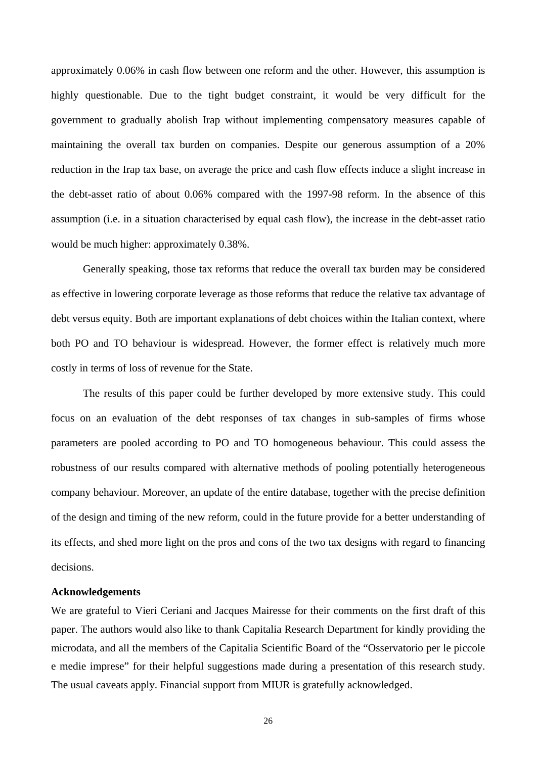approximately 0.06% in cash flow between one reform and the other. However, this assumption is highly questionable. Due to the tight budget constraint, it would be very difficult for the government to gradually abolish Irap without implementing compensatory measures capable of maintaining the overall tax burden on companies. Despite our generous assumption of a 20% reduction in the Irap tax base, on average the price and cash flow effects induce a slight increase in the debt-asset ratio of about 0.06% compared with the 1997-98 reform. In the absence of this assumption (i.e. in a situation characterised by equal cash flow), the increase in the debt-asset ratio would be much higher: approximately 0.38%.

Generally speaking, those tax reforms that reduce the overall tax burden may be considered as effective in lowering corporate leverage as those reforms that reduce the relative tax advantage of debt versus equity. Both are important explanations of debt choices within the Italian context, where both PO and TO behaviour is widespread. However, the former effect is relatively much more costly in terms of loss of revenue for the State.

The results of this paper could be further developed by more extensive study. This could focus on an evaluation of the debt responses of tax changes in sub-samples of firms whose parameters are pooled according to PO and TO homogeneous behaviour. This could assess the robustness of our results compared with alternative methods of pooling potentially heterogeneous company behaviour. Moreover, an update of the entire database, together with the precise definition of the design and timing of the new reform, could in the future provide for a better understanding of its effects, and shed more light on the pros and cons of the two tax designs with regard to financing decisions.

#### **Acknowledgements**

We are grateful to Vieri Ceriani and Jacques Mairesse for their comments on the first draft of this paper. The authors would also like to thank Capitalia Research Department for kindly providing the microdata, and all the members of the Capitalia Scientific Board of the "Osservatorio per le piccole e medie imprese" for their helpful suggestions made during a presentation of this research study. The usual caveats apply. Financial support from MIUR is gratefully acknowledged.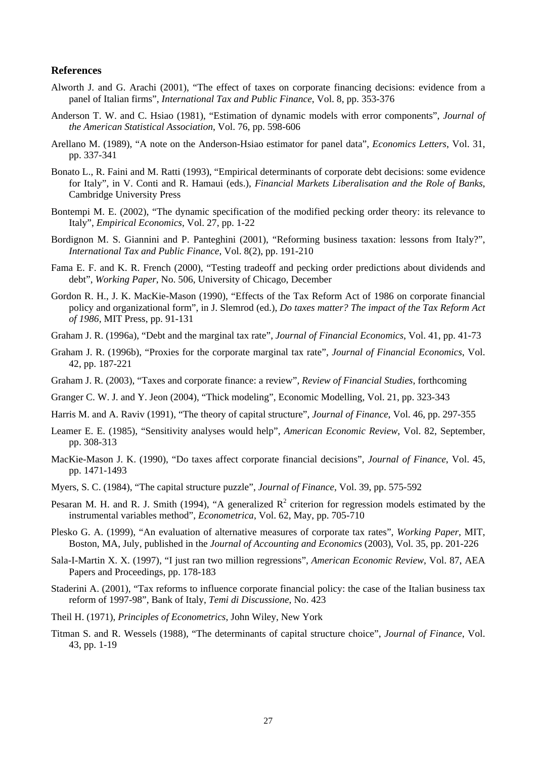#### **References**

- Alworth J. and G. Arachi (2001), "The effect of taxes on corporate financing decisions: evidence from a panel of Italian firms", *International Tax and Public Finance*, Vol. 8, pp. 353-376
- Anderson T. W. and C. Hsiao (1981), "Estimation of dynamic models with error components", *Journal of the American Statistical Association*, Vol. 76, pp. 598-606
- Arellano M. (1989), "A note on the Anderson-Hsiao estimator for panel data", *Economics Letters*, Vol. 31, pp. 337-341
- Bonato L., R. Faini and M. Ratti (1993), "Empirical determinants of corporate debt decisions: some evidence for Italy", in V. Conti and R. Hamaui (eds.), *Financial Markets Liberalisation and the Role of Banks*, Cambridge University Press
- Bontempi M. E. (2002), "The dynamic specification of the modified pecking order theory: its relevance to Italy", *Empirical Economics*, Vol. 27, pp. 1-22
- Bordignon M. S. Giannini and P. Panteghini (2001), "Reforming business taxation: lessons from Italy?", *International Tax and Public Finance*, Vol. 8(2), pp. 191-210
- Fama E. F. and K. R. French (2000), "Testing tradeoff and pecking order predictions about dividends and debt", *Working Paper*, No. 506, University of Chicago, December
- Gordon R. H., J. K. MacKie-Mason (1990), "Effects of the Tax Reform Act of 1986 on corporate financial policy and organizational form", in J. Slemrod (ed.), *Do taxes matter? The impact of the Tax Reform Act of 1986*, MIT Press, pp. 91-131
- Graham J. R. (1996a), "Debt and the marginal tax rate", *Journal of Financial Economics*, Vol. 41, pp. 41-73
- Graham J. R. (1996b), "Proxies for the corporate marginal tax rate", *Journal of Financial Economics*, Vol. 42, pp. 187-221
- Graham J. R. (2003), "Taxes and corporate finance: a review", *Review of Financial Studies*, forthcoming
- Granger C. W. J. and Y. Jeon (2004), "Thick modeling", Economic Modelling, Vol. 21, pp. 323-343
- Harris M. and A. Raviv (1991), "The theory of capital structure", *Journal of Finance*, Vol. 46, pp. 297-355
- Leamer E. E. (1985), "Sensitivity analyses would help", *American Economic Review*, Vol. 82, September, pp. 308-313
- MacKie-Mason J. K. (1990), "Do taxes affect corporate financial decisions", *Journal of Finance*, Vol. 45, pp. 1471-1493
- Myers, S. C. (1984), "The capital structure puzzle", *Journal of Finance*, Vol. 39, pp. 575-592
- Pesaran M. H. and R. J. Smith (1994), "A generalized  $R^2$  criterion for regression models estimated by the instrumental variables method", *Econometrica*, Vol. 62, May, pp. 705-710
- Plesko G. A. (1999), "An evaluation of alternative measures of corporate tax rates", *Working Paper*, MIT, Boston, MA, July, published in the *Journal of Accounting and Economics* (2003), Vol. 35, pp. 201-226
- Sala-I-Martin X. X. (1997), "I just ran two million regressions", *American Economic Review*, Vol. 87, AEA Papers and Proceedings, pp. 178-183
- Staderini A. (2001), "Tax reforms to influence corporate financial policy: the case of the Italian business tax reform of 1997-98", Bank of Italy, *Temi di Discussione*, No. 423
- Theil H. (1971), *Principles of Econometrics*, John Wiley, New York
- Titman S. and R. Wessels (1988), "The determinants of capital structure choice", *Journal of Finance*, Vol. 43, pp. 1-19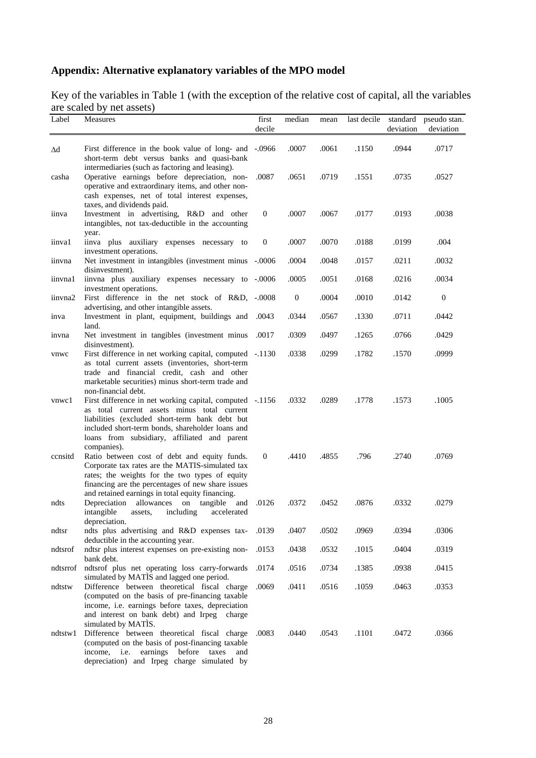# **Appendix: Alternative explanatory variables of the MPO model**

Key of the variables in Table 1 (with the exception of the relative cost of capital, all the variables are scaled by net assets)

| Label    | Measures                                                                                                                                                                                                                                                                             | first            | median           | mean  | last decile | standard  | pseudo stan. |
|----------|--------------------------------------------------------------------------------------------------------------------------------------------------------------------------------------------------------------------------------------------------------------------------------------|------------------|------------------|-------|-------------|-----------|--------------|
|          |                                                                                                                                                                                                                                                                                      | decile           |                  |       |             | deviation | deviation    |
| Δd       | First difference in the book value of long- and -.0966<br>short-term debt versus banks and quasi-bank<br>intermediaries (such as factoring and leasing).                                                                                                                             |                  | .0007            | .0061 | .1150       | .0944     | .0717        |
| casha    | Operative earnings before depreciation, non-<br>operative and extraordinary items, and other non-<br>cash expenses, net of total interest expenses,                                                                                                                                  | .0087            | .0651            | .0719 | .1551       | .0735     | .0527        |
| iinva    | taxes, and dividends paid.<br>Investment in advertising, R&D and other<br>intangibles, not tax-deductible in the accounting                                                                                                                                                          | $\mathbf{0}$     | .0007            | .0067 | .0177       | .0193     | .0038        |
| iinval   | year.<br>iinva plus auxiliary expenses necessary to<br>investment operations.                                                                                                                                                                                                        | $\boldsymbol{0}$ | .0007            | .0070 | .0188       | .0199     | .004         |
| iinvna   | Net investment in intangibles (investment minus -.0006<br>disinvestment).                                                                                                                                                                                                            |                  | .0004            | .0048 | .0157       | .0211     | .0032        |
| iinvna1  | iinvna plus auxiliary expenses necessary to -.0006<br>investment operations.                                                                                                                                                                                                         |                  | .0005            | .0051 | .0168       | .0216     | .0034        |
| iinvna2  | First difference in the net stock of R&D, -.0008<br>advertising, and other intangible assets.                                                                                                                                                                                        |                  | $\boldsymbol{0}$ | .0004 | .0010       | .0142     | $\mathbf{0}$ |
| inva     | Investment in plant, equipment, buildings and<br>land.                                                                                                                                                                                                                               | .0043            | .0344            | .0567 | .1330       | .0711     | .0442        |
| invna    | Net investment in tangibles (investment minus<br>disinvestment).                                                                                                                                                                                                                     | .0017            | .0309            | .0497 | .1265       | .0766     | .0429        |
| vnwc     | First difference in net working capital, computed -.1130<br>as total current assets (inventories, short-term<br>trade and financial credit, cash and other<br>marketable securities) minus short-term trade and                                                                      |                  | .0338            | .0299 | .1782       | .1570     | .0999        |
| vnwc1    | non-financial debt.<br>First difference in net working capital, computed -.1156<br>as total current assets minus total current<br>liabilities (excluded short-term bank debt but<br>included short-term bonds, shareholder loans and<br>loans from subsidiary, affiliated and parent |                  | .0332            | .0289 | .1778       | .1573     | .1005        |
| consite  | companies).<br>Ratio between cost of debt and equity funds.<br>Corporate tax rates are the MATIS-simulated tax<br>rates; the weights for the two types of equity<br>financing are the percentages of new share issues<br>and retained earnings in total equity financing.            | $\mathbf{0}$     | .4410            | .4855 | .796        | .2740     | .0769        |
| ndts     | allowances<br>on<br>and<br>Depreciation<br>tangible<br>intangible<br>including<br>accelerated<br>assets,<br>depreciation.                                                                                                                                                            | .0126            | .0372            | .0452 | .0876       | .0332     | .0279        |
| ndtsr    | ndts plus advertising and R&D expenses tax-<br>deductible in the accounting year.                                                                                                                                                                                                    | .0139            | .0407            | .0502 | .0969       | .0394     | .0306        |
| ndtsrof  | ndtsr plus interest expenses on pre-existing non-<br>bank debt.                                                                                                                                                                                                                      | .0153            | .0438            | .0532 | .1015       | .0404     | .0319        |
| ndtsrrof | ndtsrof plus net operating loss carry-forwards<br>simulated by MATIS and lagged one period.                                                                                                                                                                                          | .0174            | .0516            | .0734 | .1385       | .0938     | .0415        |
| ndtstw   | Difference between theoretical fiscal charge<br>(computed on the basis of pre-financing taxable<br>income, i.e. earnings before taxes, depreciation<br>and interest on bank debt) and Irpeg<br>charge<br>simulated by MATIS.                                                         | .0069            | .0411            | .0516 | .1059       | .0463     | .0353        |
| ndtstw l | Difference between theoretical fiscal charge<br>(computed on the basis of post-financing taxable<br>before taxes<br>income, <i>i.e.</i><br>earnings<br>and<br>depreciation) and Irpeg charge simulated by                                                                            | .0083            | .0440            | .0543 | .1101       | .0472     | .0366        |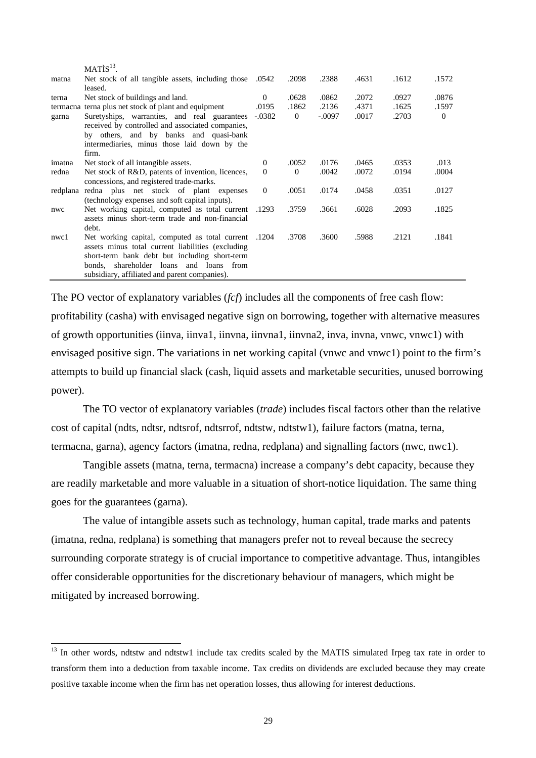|        | MATIS <sup>13</sup>                                  |                |                |          |       |       |          |
|--------|------------------------------------------------------|----------------|----------------|----------|-------|-------|----------|
| matna  | Net stock of all tangible assets, including those    | .0542          | .2098          | .2388    | .4631 | .1612 | .1572    |
|        | leased.                                              |                |                |          |       |       |          |
| terna  | Net stock of buildings and land.                     | $\Omega$       | .0628          | .0862    | .2072 | .0927 | .0876    |
|        | termacna terna plus net stock of plant and equipment | .0195          | .1862          | .2136    | .4371 | .1625 | .1597    |
| garna  | Suretyships, warranties, and real guarantees         | $-.0382$       | $\overline{0}$ | $-.0097$ | .0017 | .2703 | $\Omega$ |
|        | received by controlled and associated companies,     |                |                |          |       |       |          |
|        | by others, and by banks and quasi-bank               |                |                |          |       |       |          |
|        | intermediaries, minus those laid down by the         |                |                |          |       |       |          |
|        | firm.                                                |                |                |          |       |       |          |
| imatna | Net stock of all intangible assets.                  | $\overline{0}$ | .0052          | .0176    | .0465 | .0353 | .013     |
| redna  | Net stock of R&D, patents of invention, licences,    | $\Omega$       | $\Omega$       | .0042    | .0072 | .0194 | .0004    |
|        | concessions, and registered trade-marks.             |                |                |          |       |       |          |
|        | redplana redna plus net stock of plant expenses      | $\Omega$       | .0051          | .0174    | .0458 | .0351 | .0127    |
|        | (technology expenses and soft capital inputs).       |                |                |          |       |       |          |
| nwc    | Net working capital, computed as total current       | .1293          | .3759          | .3661    | .6028 | .2093 | .1825    |
|        | assets minus short-term trade and non-financial      |                |                |          |       |       |          |
|        | debt.                                                |                |                |          |       |       |          |
| nwc1   | Net working capital, computed as total current       | .1204          | .3708          | .3600    | .5988 | .2121 | .1841    |
|        | assets minus total current liabilities (excluding    |                |                |          |       |       |          |
|        | short-term bank debt but including short-term        |                |                |          |       |       |          |
|        | bonds, shareholder loans and loans from              |                |                |          |       |       |          |
|        | subsidiary, affiliated and parent companies).        |                |                |          |       |       |          |

The PO vector of explanatory variables (*fcf*) includes all the components of free cash flow: profitability (casha) with envisaged negative sign on borrowing, together with alternative measures of growth opportunities (iinva, iinva1, iinvna, iinvna1, iinvna2, inva, invna, vnwc, vnwc1) with envisaged positive sign. The variations in net working capital (vnwc and vnwc1) point to the firm's attempts to build up financial slack (cash, liquid assets and marketable securities, unused borrowing power).

The TO vector of explanatory variables (*trade*) includes fiscal factors other than the relative cost of capital (ndts, ndtsr, ndtsrof, ndtsrrof, ndtstw, ndtstw1), failure factors (matna, terna, termacna, garna), agency factors (imatna, redna, redplana) and signalling factors (nwc, nwc1).

Tangible assets (matna, terna, termacna) increase a company's debt capacity, because they are readily marketable and more valuable in a situation of short-notice liquidation. The same thing goes for the guarantees (garna).

The value of intangible assets such as technology, human capital, trade marks and patents (imatna, redna, redplana) is something that managers prefer not to reveal because the secrecy surrounding corporate strategy is of crucial importance to competitive advantage. Thus, intangibles offer considerable opportunities for the discretionary behaviour of managers, which might be mitigated by increased borrowing.

 $\overline{a}$ 

<sup>&</sup>lt;sup>13</sup> In other words, ndtstw and ndtstw1 include tax credits scaled by the MATIS simulated Irpeg tax rate in order to transform them into a deduction from taxable income. Tax credits on dividends are excluded because they may create positive taxable income when the firm has net operation losses, thus allowing for interest deductions.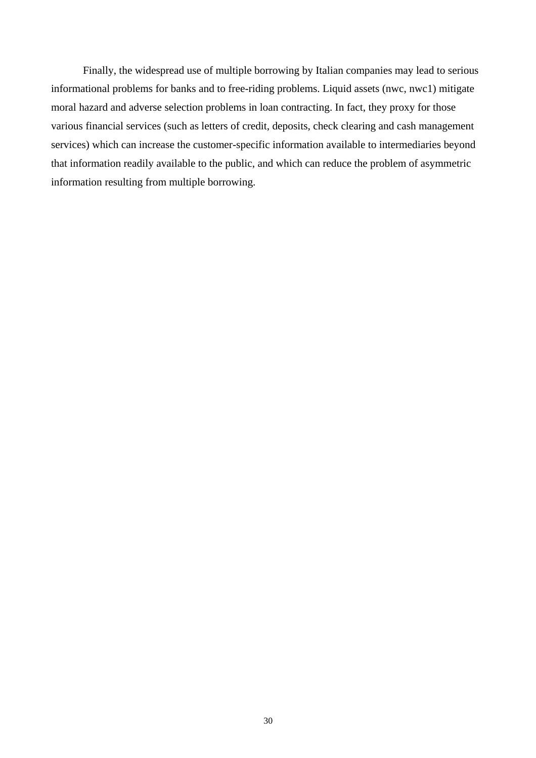Finally, the widespread use of multiple borrowing by Italian companies may lead to serious informational problems for banks and to free-riding problems. Liquid assets (nwc, nwc1) mitigate moral hazard and adverse selection problems in loan contracting. In fact, they proxy for those various financial services (such as letters of credit, deposits, check clearing and cash management services) which can increase the customer-specific information available to intermediaries beyond that information readily available to the public, and which can reduce the problem of asymmetric information resulting from multiple borrowing.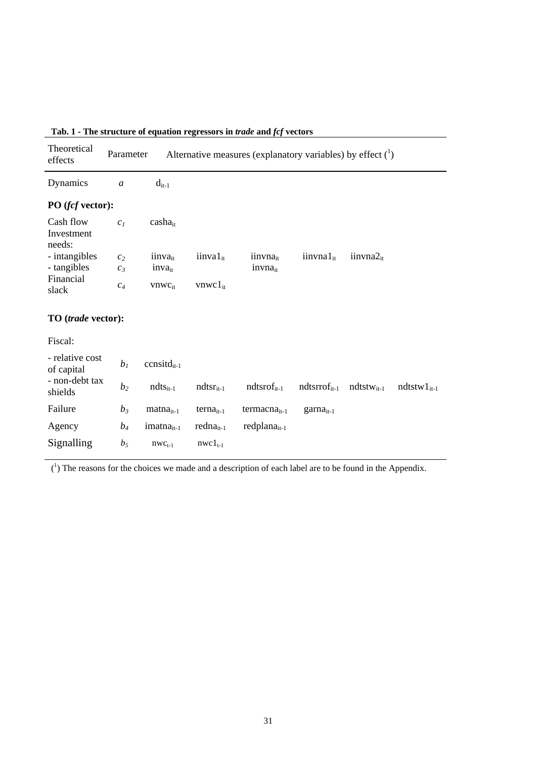|                                                                                                      | The set actains of ex- |                     | aation regressors in a aae and |                      |                             |                    |                   |
|------------------------------------------------------------------------------------------------------|------------------------|---------------------|--------------------------------|----------------------|-----------------------------|--------------------|-------------------|
| Theoretical<br>Alternative measures (explanatory variables) by effect $(^1)$<br>Parameter<br>effects |                        |                     |                                |                      |                             |                    |                   |
| Dynamics                                                                                             | $\boldsymbol{a}$       | $d_{it-1}$          |                                |                      |                             |                    |                   |
| PO (fcf vector):                                                                                     |                        |                     |                                |                      |                             |                    |                   |
| Cash flow<br>Investment<br>needs:                                                                    | c <sub>1</sub>         | $casha_{it}$        |                                |                      |                             |                    |                   |
| - intangibles                                                                                        | c <sub>2</sub>         | iinva <sub>it</sub> | $i$ inva $1_{it}$              | iinvna <sub>it</sub> | $i$ invna $1_{it}$          | $i$ invna $2_{it}$ |                   |
| - tangibles                                                                                          | $C_3$                  | $inva_{it}$         |                                | $in vna_{it}$        |                             |                    |                   |
| Financial                                                                                            |                        |                     |                                |                      |                             |                    |                   |
| slack                                                                                                | $c_4$                  | $vnwc_{it}$         | $vnwc1_{it}$                   |                      |                             |                    |                   |
| TO (trade vector):<br>Fiscal:                                                                        |                        |                     |                                |                      |                             |                    |                   |
| - relative cost<br>of capital                                                                        | b <sub>1</sub>         | $ccnsitdit-1$       |                                |                      |                             |                    |                   |
| - non-debt tax<br>shields                                                                            | b <sub>2</sub>         | $ndts_{it-1}$       | $ndtsr_{it-1}$                 | $ndtsrofit-1$        | $ndtsrrofit-1$ $ndtstwit-1$ |                    | ndtstw $1_{it-1}$ |
| Failure                                                                                              | $b_3$                  | $matna_{it-1}$      | $terna_{it-1}$                 | $termacna_{it-1}$    | $gamma_{it-1}$              |                    |                   |
| Agency                                                                                               | $b_4$                  | $imatnait-1$        | $redna_{it-1}$                 | $redplana_{it-1}$    |                             |                    |                   |
| Signalling                                                                                           | $b_5$                  | $nwc_{t-1}$         | $nwc1_{t-1}$                   |                      |                             |                    |                   |

#### **Tab. 1 - The structure of equation regressors in** *trade* **and** *fcf* **vectors**

 $(1)$  The reasons for the choices we made and a description of each label are to be found in the Appendix.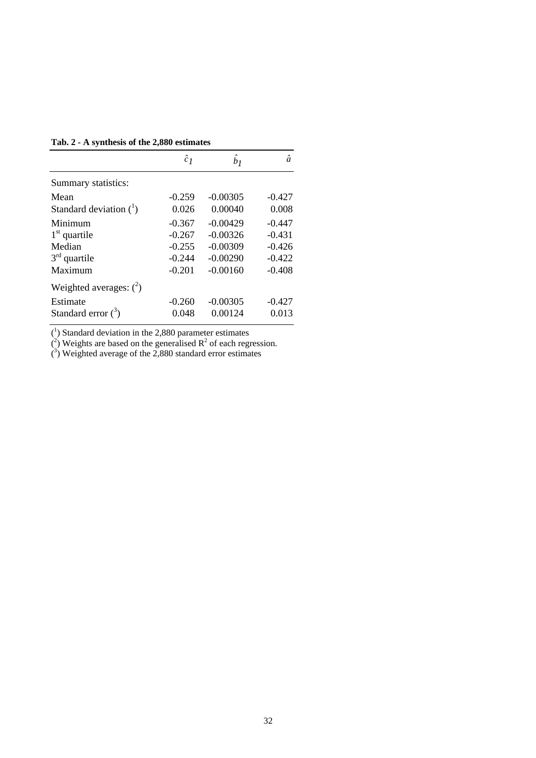**Tab. 2 - A synthesis of the 2,880 estimates**

|                           | $\hat{c}_I$ | $\ddot{b}_1$ | $\boldsymbol{a}$ |
|---------------------------|-------------|--------------|------------------|
| Summary statistics:       |             |              |                  |
| Mean                      | $-0.259$    | $-0.00305$   | $-0.427$         |
| Standard deviation $(^1)$ | 0.026       | 0.00040      | 0.008            |
| Minimum                   | $-0.367$    | $-0.00429$   | $-0.447$         |
| $1st$ quartile            | $-0.267$    | $-0.00326$   | $-0.431$         |
| Median                    | $-0.255$    | $-0.00309$   | $-0.426$         |
| $3rd$ quartile            | $-0.244$    | $-0.00290$   | $-0.422$         |
| Maximum                   | $-0.201$    | $-0.00160$   | $-0.408$         |
| Weighted averages: $(^2)$ |             |              |                  |
| Estimate                  | $-0.260$    | $-0.00305$   | $-0.427$         |
| Standard error $(3)$      | 0.048       | 0.00124      | 0.013            |

 $(1)$  Standard deviation in the 2,880 parameter estimates

 $\overline{R}^2$ ) Weights are based on the generalised  $R^2$  of each regression.

 $\binom{3}{2}$  Weighted average of the 2,880 standard error estimates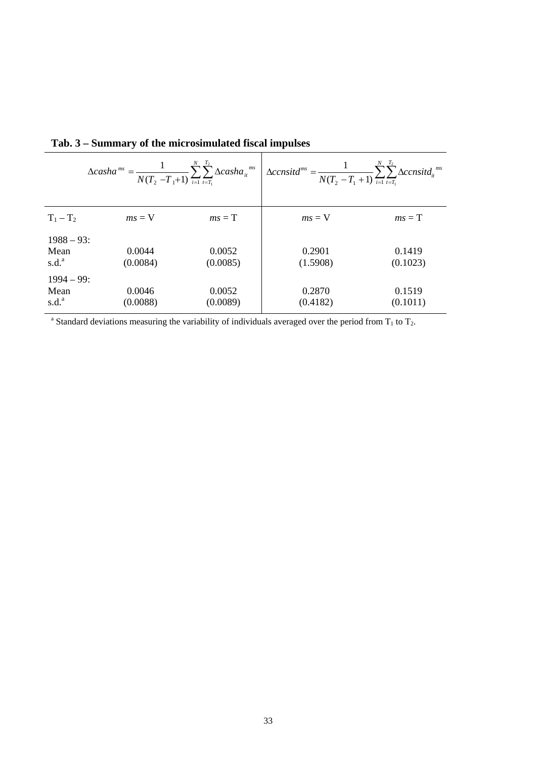|                   | $\Delta casha^{ms} = \frac{1}{N(T_2 - T_1 + 1)} \sum_{i=1}^{N} \sum_{t=T_i}^{S} \Delta casha_{it}^{ms}$ |          | $\Delta {consitd}^{ms} = \frac{1}{N(T_2 - T_1 + 1)} \sum_{i=1}^{\infty} \sum_{t=T_i}^{\infty} \Delta {consitd}_{it}^{ms}$ |          |
|-------------------|---------------------------------------------------------------------------------------------------------|----------|---------------------------------------------------------------------------------------------------------------------------|----------|
| $T_1 - T_2$       | $ms = V$                                                                                                | $ms = T$ | $ms = V$                                                                                                                  | $ms = T$ |
| $1988 - 93$ :     |                                                                                                         |          |                                                                                                                           |          |
| Mean              | 0.0044                                                                                                  | 0.0052   | 0.2901                                                                                                                    | 0.1419   |
| s.d. <sup>a</sup> | (0.0084)                                                                                                | (0.0085) | (1.5908)                                                                                                                  | (0.1023) |
| $1994 - 99:$      |                                                                                                         |          |                                                                                                                           |          |
| Mean              | 0.0046                                                                                                  | 0.0052   | 0.2870                                                                                                                    | 0.1519   |
| s.d. <sup>a</sup> | (0.0088)                                                                                                | (0.0089) | (0.4182)                                                                                                                  | (0.1011) |

**Tab. 3 – Summary of the microsimulated fiscal impulses**

<sup>a</sup> Standard deviations measuring the variability of individuals averaged over the period from  $T_1$  to  $T_2$ .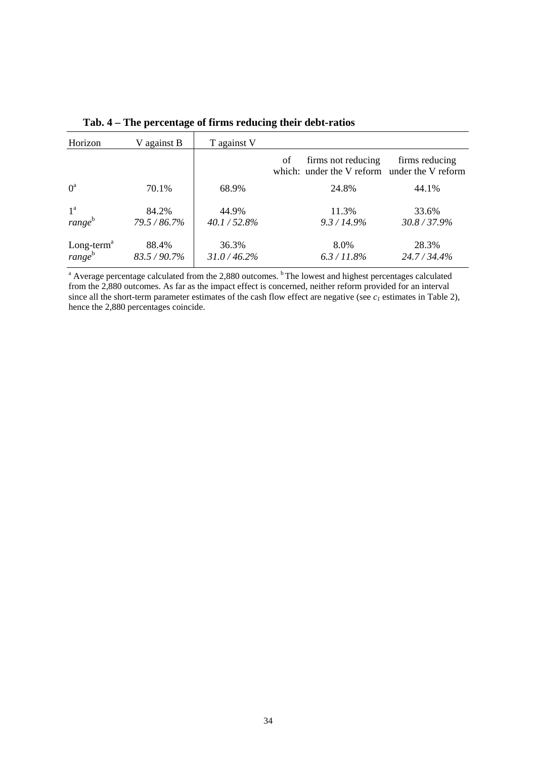| Horizon                                      | V against B         | T against V              |                                                                          |                       |
|----------------------------------------------|---------------------|--------------------------|--------------------------------------------------------------------------|-----------------------|
|                                              |                     |                          | firms not reducing<br>of<br>which: under the V reform under the V reform | firms reducing        |
| $0^a$                                        | 70.1%               | 68.9%                    | 24.8%                                                                    | 44.1%                 |
| $1^{\rm a}$<br>$range^b$                     | 84.2%<br>79.5/86.7% | 44.9%<br>$40.1 / 52.8\%$ | 11.3%<br>$9.3 / 14.9\%$                                                  | 33.6%<br>30.8 / 37.9% |
| Long-term <sup>a</sup><br>range <sup>b</sup> | 88.4%<br>83.5/90.7% | 36.3%<br>31.0 / 46.2%    | 8.0%<br>$6.3 / 11.8\%$                                                   | 28.3%<br>24.7/34.4%   |

**Tab. 4 – The percentage of firms reducing their debt-ratios**

<sup>a</sup> Average percentage calculated from the 2,880 outcomes. <sup>b</sup> The lowest and highest percentages calculated from the 2,880 outcomes. As far as the impact effect is concerned, neither reform provided for an interval since all the short-term parameter estimates of the cash flow effect are negative (see  $c_1$  estimates in Table 2), hence the 2,880 percentages coincide.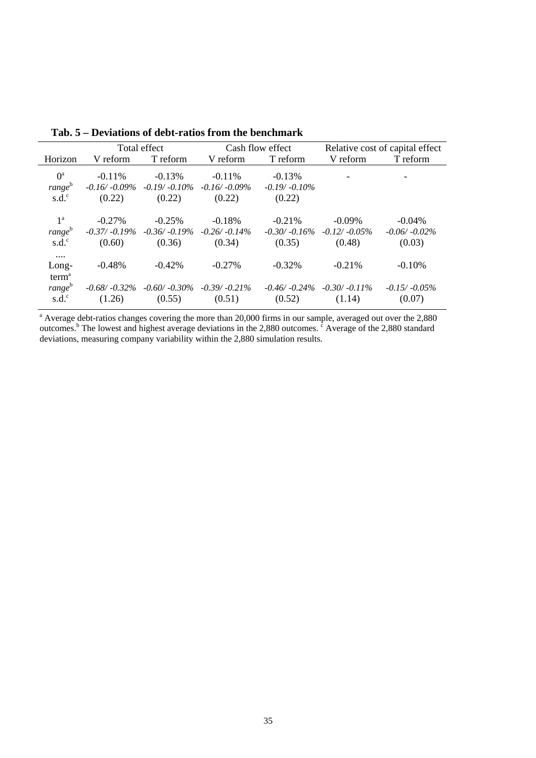|                    |           | Total effect                    |                  | Cash flow effect | Relative cost of capital effect |                 |  |
|--------------------|-----------|---------------------------------|------------------|------------------|---------------------------------|-----------------|--|
| Horizon            | V reform  | T reform                        | V reform         | T reform         | V reform                        | T reform        |  |
| $0^{\mathrm{a}}$   | $-0.11\%$ |                                 | $-0.11\%$        |                  |                                 |                 |  |
|                    |           | $-0.13%$                        |                  | $-0.13%$         |                                 |                 |  |
| range <sup>b</sup> |           | $-0.16/ -0.09\% -0.19/ -0.10\%$ | $-0.16/ -0.09\%$ | $-0.19/ -0.10\%$ |                                 |                 |  |
| $s.d.^c$           | (0.22)    | (0.22)                          | (0.22)           | (0.22)           |                                 |                 |  |
|                    |           |                                 |                  |                  |                                 |                 |  |
| 1 <sup>a</sup>     | $-0.27\%$ | $-0.25%$                        | $-0.18%$         | $-0.21\%$        | $-0.09\%$                       | $-0.04\%$       |  |
| range <sup>b</sup> |           | $-0.37/-0.19\%$ $-0.36/-0.19\%$ | $-0.26/-0.14\%$  | $-0.30/-0.16\%$  | $-0.12/-0.05\%$                 | $-0.06/-0.02\%$ |  |
| $s.d.^c$           | (0.60)    | (0.36)                          | (0.34)           | (0.35)           | (0.48)                          | (0.03)          |  |
| $\cdots$           |           |                                 |                  |                  |                                 |                 |  |
| Long-              | $-0.48\%$ | $-0.42%$                        | $-0.27%$         | $-0.32%$         | $-0.21%$                        | $-0.10%$        |  |
| term <sup>a</sup>  |           |                                 |                  |                  |                                 |                 |  |
| range <sup>b</sup> |           | $-0.68/ -0.32\% -0.60/ -0.30\%$ | $-0.39/-0.21\%$  | $-0.46/ -0.24\%$ | $-0.30/-0.11\%$                 | $-0.15/-0.05\%$ |  |
| $s.d.^c$           | (1.26)    | (0.55)                          | (0.51)           | (0.52)           | (1.14)                          | (0.07)          |  |

**Tab. 5 – Deviations of debt-ratios from the benchmark**

<sup>a</sup> Average debt-ratios changes covering the more than 20,000 firms in our sample, averaged out over the 2,880 outcomes.<sup>b</sup> The lowest and highest average deviations in the 2,880 outcomes.  $\epsilon$  Average of the 2,880 standard deviations, measuring company variability within the 2,880 simulation results.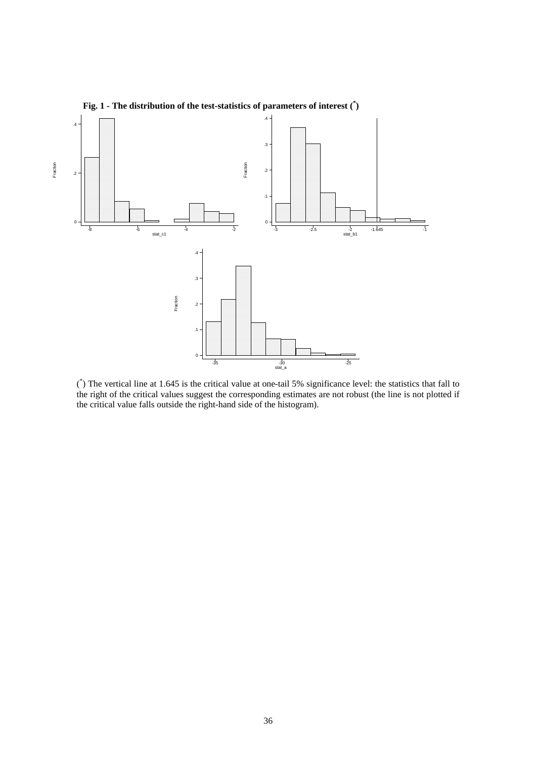

**Fig. 1 - The distribution of the test-statistics of parameters of interest (\* )**

( \* ) The vertical line at 1.645 is the critical value at one-tail 5% significance level: the statistics that fall to the right of the critical values suggest the corresponding estimates are not robust (the line is not plotted if the critical value falls outside the right-hand side of the histogram).